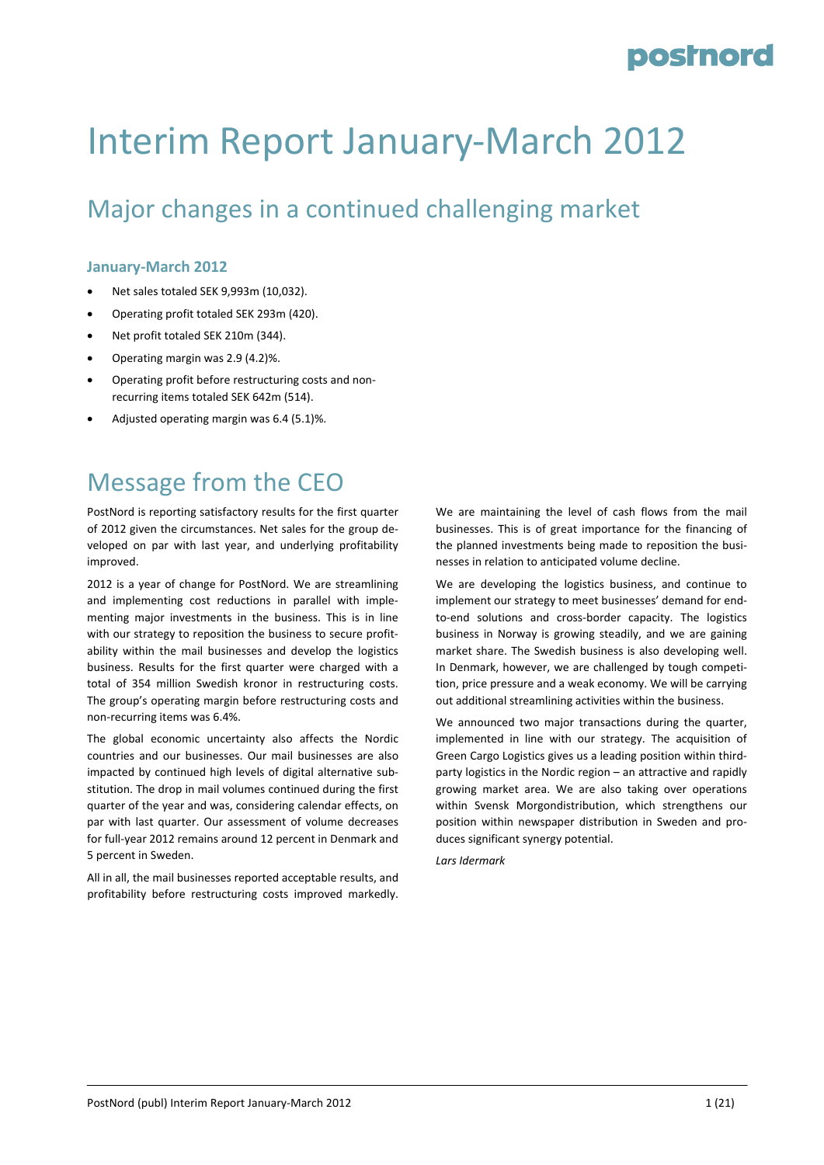# Interim Report January‐March 2012

### Major changes in a continued challenging market

#### **January‐March 2012**

- Net sales totaled SEK 9,993m (10,032).
- Operating profit totaled SEK 293m (420).
- Net profit totaled SEK 210m (344).
- Operating margin was 2.9 (4.2)%.
- Operating profit before restructuring costs and non‐ recurring items totaled SEK 642m (514).
- Adjusted operating margin was 6.4 (5.1)%.

### Message from the CEO

PostNord is reporting satisfactory results for the first quarter of 2012 given the circumstances. Net sales for the group de‐ veloped on par with last year, and underlying profitability improved.

2012 is a year of change for PostNord. We are streamlining and implementing cost reductions in parallel with implementing major investments in the business. This is in line with our strategy to reposition the business to secure profitability within the mail businesses and develop the logistics business. Results for the first quarter were charged with a total of 354 million Swedish kronor in restructuring costs. The group's operating margin before restructuring costs and non‐recurring items was 6.4%.

The global economic uncertainty also affects the Nordic countries and our businesses. Our mail businesses are also impacted by continued high levels of digital alternative substitution. The drop in mail volumes continued during the first quarter of the year and was, considering calendar effects, on par with last quarter. Our assessment of volume decreases for full‐year 2012 remains around 12 percent in Denmark and 5 percent in Sweden.

All in all, the mail businesses reported acceptable results, and profitability before restructuring costs improved markedly.

We are maintaining the level of cash flows from the mail businesses. This is of great importance for the financing of the planned investments being made to reposition the busi‐ nesses in relation to anticipated volume decline.

We are developing the logistics business, and continue to implement our strategy to meet businesses' demand for endto‐end solutions and cross‐border capacity. The logistics business in Norway is growing steadily, and we are gaining market share. The Swedish business is also developing well. In Denmark, however, we are challenged by tough competi‐ tion, price pressure and a weak economy. We will be carrying out additional streamlining activities within the business.

We announced two major transactions during the quarter, implemented in line with our strategy. The acquisition of Green Cargo Logistics gives us a leading position within third‐ party logistics in the Nordic region – an attractive and rapidly growing market area. We are also taking over operations within Svensk Morgondistribution, which strengthens our position within newspaper distribution in Sweden and pro‐ duces significant synergy potential.

*Lars Idermark*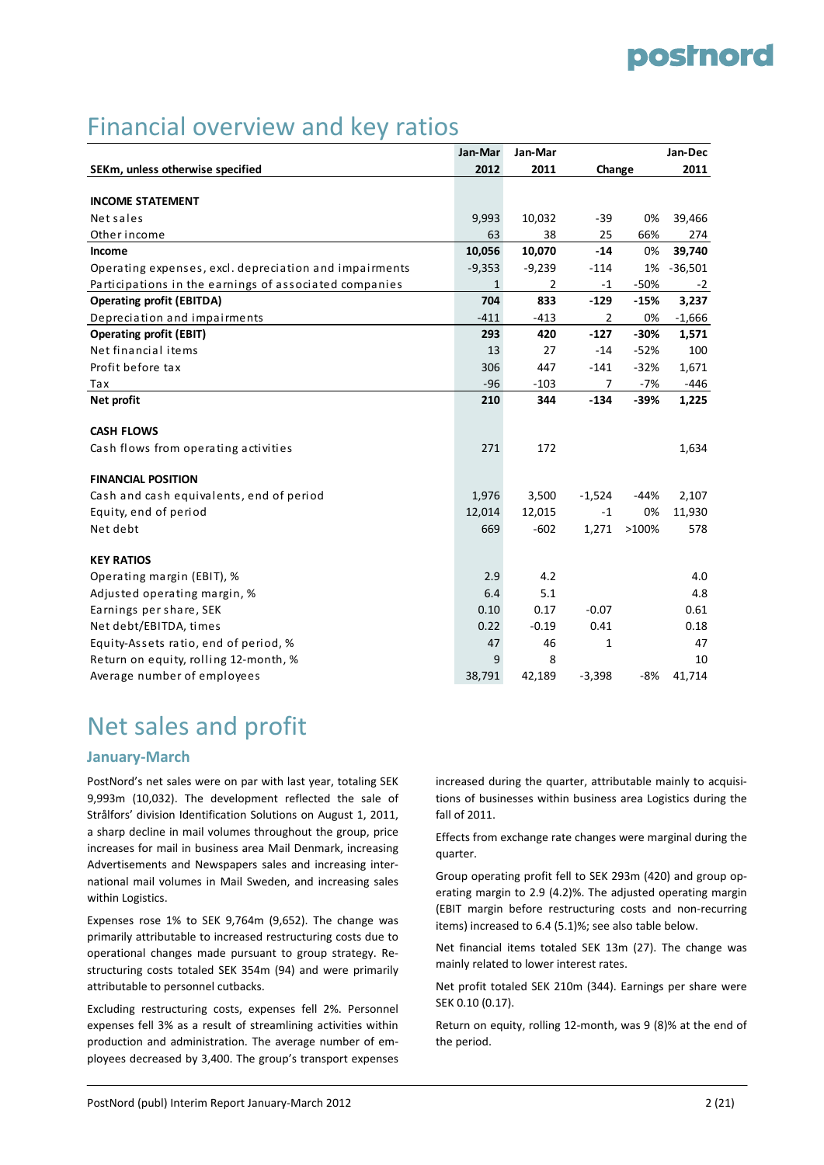### Financial overview and key ratios

|                                                        | Jan-Mar      | Jan-Mar        |          |        | Jan-Dec   |
|--------------------------------------------------------|--------------|----------------|----------|--------|-----------|
| SEKm, unless otherwise specified                       | 2012         | 2011           | Change   |        | 2011      |
|                                                        |              |                |          |        |           |
| <b>INCOME STATEMENT</b>                                |              |                |          |        |           |
| Net sales                                              | 9,993        | 10,032         | $-39$    | 0%     | 39,466    |
| Other income                                           | 63           | 38             | 25       | 66%    | 274       |
| Income                                                 | 10,056       | 10,070         | $-14$    | 0%     | 39,740    |
| Operating expenses, excl. depreciation and impairments | $-9,353$     | $-9,239$       | $-114$   | 1%     | $-36,501$ |
| Participations in the earnings of associated companies | $\mathbf{1}$ | $\overline{2}$ | $-1$     | $-50%$ | $-2$      |
| <b>Operating profit (EBITDA)</b>                       | 704          | 833            | $-129$   | $-15%$ | 3,237     |
| Depreciation and impairments                           | $-411$       | $-413$         | 2        | 0%     | $-1,666$  |
| <b>Operating profit (EBIT)</b>                         | 293          | 420            | $-127$   | $-30%$ | 1,571     |
| Net financial items                                    | 13           | 27             | $-14$    | $-52%$ | 100       |
| Profit before tax                                      | 306          | 447            | $-141$   | $-32%$ | 1,671     |
| Tax                                                    | $-96$        | $-103$         | 7        | -7%    | -446      |
| Net profit                                             | 210          | 344            | $-134$   | $-39%$ | 1,225     |
|                                                        |              |                |          |        |           |
| <b>CASH FLOWS</b>                                      |              |                |          |        |           |
| Cash flows from operating activities                   | 271          | 172            |          |        | 1,634     |
| <b>FINANCIAL POSITION</b>                              |              |                |          |        |           |
| Cash and cash equivalents, end of period               | 1,976        | 3,500          | $-1,524$ | $-44%$ | 2,107     |
| Equity, end of period                                  | 12,014       | 12,015         | -1       | 0%     | 11,930    |
| Net debt                                               | 669          | $-602$         | 1,271    | >100%  | 578       |
| <b>KEY RATIOS</b>                                      |              |                |          |        |           |
| Operating margin (EBIT), %                             | 2.9          | 4.2            |          |        | 4.0       |
| Adjusted operating margin, %                           | 6.4          | 5.1            |          |        | 4.8       |
| Earnings per share, SEK                                | 0.10         | 0.17           | $-0.07$  |        | 0.61      |
| Net debt/EBITDA, times                                 | 0.22         | $-0.19$        | 0.41     |        | 0.18      |
| Equity-Assets ratio, end of period, %                  | 47           | 46             | 1        |        | 47        |
| Return on equity, rolling 12-month, %                  | 9            | 8              |          |        | 10        |
| Average number of employees                            | 38,791       | 42,189         | $-3,398$ | $-8%$  | 41,714    |

### Net sales and profit

#### **January‐March**

PostNord's net sales were on par with last year, totaling SEK 9,993m (10,032). The development reflected the sale of Strålfors' division Identification Solutions on August 1, 2011, a sharp decline in mail volumes throughout the group, price increases for mail in business area Mail Denmark, increasing Advertisements and Newspapers sales and increasing inter‐ national mail volumes in Mail Sweden, and increasing sales within Logistics.

Expenses rose 1% to SEK 9,764m (9,652). The change was primarily attributable to increased restructuring costs due to operational changes made pursuant to group strategy. Re‐ structuring costs totaled SEK 354m (94) and were primarily attributable to personnel cutbacks.

Excluding restructuring costs, expenses fell 2%. Personnel expenses fell 3% as a result of streamlining activities within production and administration. The average number of em‐ ployees decreased by 3,400. The group's transport expenses increased during the quarter, attributable mainly to acquisi‐ tions of businesses within business area Logistics during the fall of 2011.

Effects from exchange rate changes were marginal during the quarter.

Group operating profit fell to SEK 293m (420) and group op‐ erating margin to 2.9 (4.2)%. The adjusted operating margin (EBIT margin before restructuring costs and non‐recurring items) increased to 6.4 (5.1)%; see also table below.

Net financial items totaled SEK 13m (27). The change was mainly related to lower interest rates.

Net profit totaled SEK 210m (344). Earnings per share were SEK 0.10 (0.17).

Return on equity, rolling 12‐month, was 9 (8)% at the end of the period.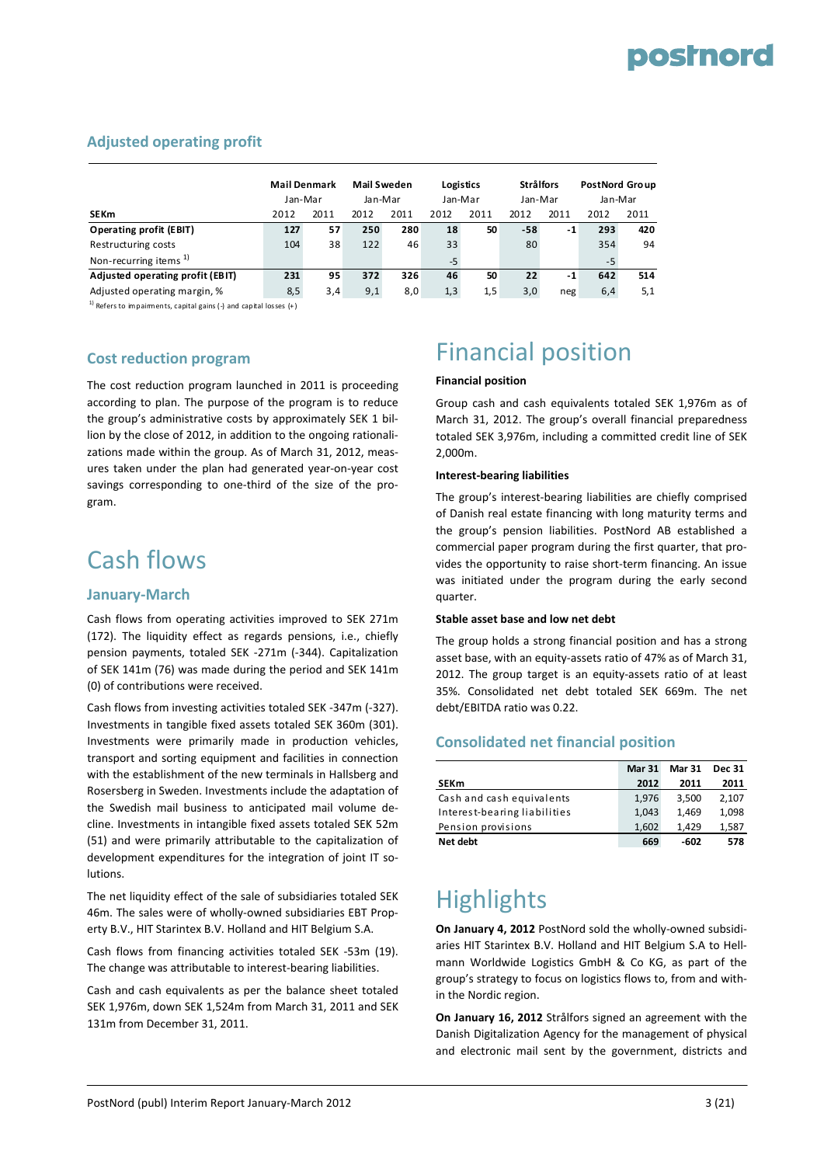#### **Adjusted operating profit**

|                                   | <b>Mail Denmark</b><br>Jan-Mar |      | <b>Mail Sweden</b><br>Jan-Mar |      |      | Logistics<br>Jan-Mar | <b>Strålfors</b><br>Jan-Mar |      | <b>PostNord Group</b><br>Jan-Mar |      |
|-----------------------------------|--------------------------------|------|-------------------------------|------|------|----------------------|-----------------------------|------|----------------------------------|------|
| <b>SEKm</b>                       | 2012                           | 2011 | 2012                          | 2011 | 2012 | 2011                 | 2012                        | 2011 | 2012                             | 2011 |
| Operating profit (EBIT)           | 127                            | 57   | 250                           | 280  | 18   | 50                   | -58                         | $-1$ | 293                              | 420  |
| Restructuring costs               | 104                            | 38   | 122                           | 46   | 33   |                      | 80                          |      | 354                              | 94   |
| Non-recurring items <sup>1)</sup> |                                |      |                               |      | $-5$ |                      |                             |      | $-5$                             |      |
| Adjusted operating profit (EBIT)  | 231                            | 95   | 372                           | 326  | 46   | 50                   | 22                          | -1   | 642                              | 514  |
| Adjusted operating margin, %      | 8,5                            | 3,4  | 9,1                           | 8,0  | 1,3  | 1,5                  | 3,0                         | neg  | 6,4                              | 5,1  |

 $1)$  Refers to impaiments, capital gains (-) and capital losses (+)

#### **Cost reduction program**

The cost reduction program launched in 2011 is proceeding according to plan. The purpose of the program is to reduce the group's administrative costs by approximately SEK 1 bil‐ lion by the close of 2012, in addition to the ongoing rationali‐ zations made within the group. As of March 31, 2012, meas‐ ures taken under the plan had generated year‐on‐year cost savings corresponding to one-third of the size of the program.

### Cash flows

#### **January‐March**

Cash flows from operating activities improved to SEK 271m (172). The liquidity effect as regards pensions, i.e., chiefly pension payments, totaled SEK ‐271m (‐344). Capitalization of SEK 141m (76) was made during the period and SEK 141m (0) of contributions were received.

Cash flows from investing activities totaled SEK ‐347m (‐327). Investments in tangible fixed assets totaled SEK 360m (301). Investments were primarily made in production vehicles, transport and sorting equipment and facilities in connection with the establishment of the new terminals in Hallsberg and Rosersberg in Sweden. Investments include the adaptation of the Swedish mail business to anticipated mail volume de‐ cline. Investments in intangible fixed assets totaled SEK 52m (51) and were primarily attributable to the capitalization of development expenditures for the integration of joint IT so‐ lutions.

The net liquidity effect of the sale of subsidiaries totaled SEK 46m. The sales were of wholly‐owned subsidiaries EBT Prop‐ erty B.V., HIT Starintex B.V. Holland and HIT Belgium S.A.

Cash flows from financing activities totaled SEK ‐53m (19). The change was attributable to interest‐bearing liabilities.

Cash and cash equivalents as per the balance sheet totaled SEK 1,976m, down SEK 1,524m from March 31, 2011 and SEK 131m from December 31, 2011.

# Financial position

#### **Financial position**

Group cash and cash equivalents totaled SEK 1,976m as of March 31, 2012. The group's overall financial preparedness totaled SEK 3,976m, including a committed credit line of SEK 2,000m.

#### **Interest‐bearing liabilities**

The group's interest‐bearing liabilities are chiefly comprised of Danish real estate financing with long maturity terms and the group's pension liabilities. PostNord AB established a commercial paper program during the first quarter, that pro‐ vides the opportunity to raise short‐term financing. An issue was initiated under the program during the early second quarter.

#### **Stable asset base and low net debt**

The group holds a strong financial position and has a strong asset base, with an equity‐assets ratio of 47% as of March 31, 2012. The group target is an equity‐assets ratio of at least 35%. Consolidated net debt totaled SEK 669m. The net debt/EBITDA ratio was 0.22.

#### **Consolidated net financial position**

|                              | <b>Mar 31</b> | <b>Mar 31</b> | <b>Dec 31</b> |
|------------------------------|---------------|---------------|---------------|
| <b>SEKm</b>                  | 2012          | 2011          | 2011          |
| Cash and cash equivalents    | 1.976         | 3.500         | 2,107         |
| Interest-bearing liabilities | 1.043         | 1.469         | 1,098         |
| Pension provisions           | 1.602         | 1.429         | 1,587         |
| Net debt                     | 669           | -602          | 578           |

### **Highlights**

**On January 4, 2012** PostNord sold the wholly‐owned subsidi‐ aries HIT Starintex B.V. Holland and HIT Belgium S.A to Hell‐ mann Worldwide Logistics GmbH & Co KG, as part of the group's strategy to focus on logistics flows to, from and with‐ in the Nordic region.

**On January 16, 2012** Strålfors signed an agreement with the Danish Digitalization Agency for the management of physical and electronic mail sent by the government, districts and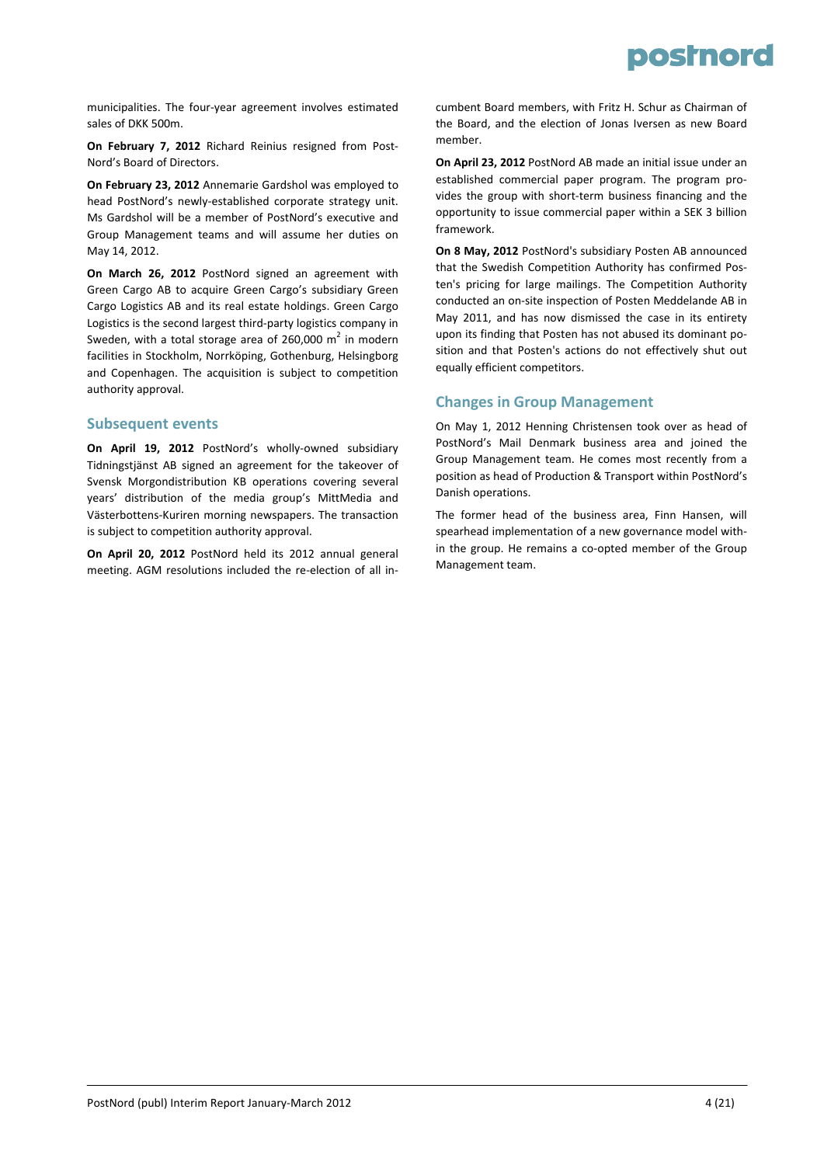

municipalities. The four‐year agreement involves estimated sales of DKK 500m.

**On February 7, 2012** Richard Reinius resigned from Post‐ Nord's Board of Directors.

**On February 23, 2012** Annemarie Gardshol was employed to head PostNord's newly‐established corporate strategy unit. Ms Gardshol will be a member of PostNord's executive and Group Management teams and will assume her duties on May 14, 2012.

**On March 26, 2012** PostNord signed an agreement with Green Cargo AB to acquire Green Cargo's subsidiary Green Cargo Logistics AB and its real estate holdings. Green Cargo Logistics is the second largest third‐party logistics company in Sweden, with a total storage area of 260,000  $m^2$  in modern facilities in Stockholm, Norrköping, Gothenburg, Helsingborg and Copenhagen. The acquisition is subject to competition authority approval.

#### **Subsequent events**

**On April 19, 2012** PostNord's wholly‐owned subsidiary Tidningstjänst AB signed an agreement for the takeover of Svensk Morgondistribution KB operations covering several years' distribution of the media group's MittMedia and Västerbottens‐Kuriren morning newspapers. The transaction is subject to competition authority approval.

**On April 20, 2012** PostNord held its 2012 annual general meeting. AGM resolutions included the re‐election of all in‐

cumbent Board members, with Fritz H. Schur as Chairman of the Board, and the election of Jonas Iversen as new Board member.

**On April 23, 2012** PostNord AB made an initial issue under an established commercial paper program. The program pro‐ vides the group with short‐term business financing and the opportunity to issue commercial paper within a SEK 3 billion framework.

**On 8 May, 2012** PostNord's subsidiary Posten AB announced that the Swedish Competition Authority has confirmed Pos‐ ten's pricing for large mailings. The Competition Authority conducted an on‐site inspection of Posten Meddelande AB in May 2011, and has now dismissed the case in its entirety upon its finding that Posten has not abused its dominant po‐ sition and that Posten's actions do not effectively shut out equally efficient competitors.

#### **Changes in Group Management**

On May 1, 2012 Henning Christensen took over as head of PostNord's Mail Denmark business area and joined the Group Management team. He comes most recently from a position as head of Production & Transport within PostNord's Danish operations.

The former head of the business area, Finn Hansen, will spearhead implementation of a new governance model with‐ in the group. He remains a co‐opted member of the Group Management team.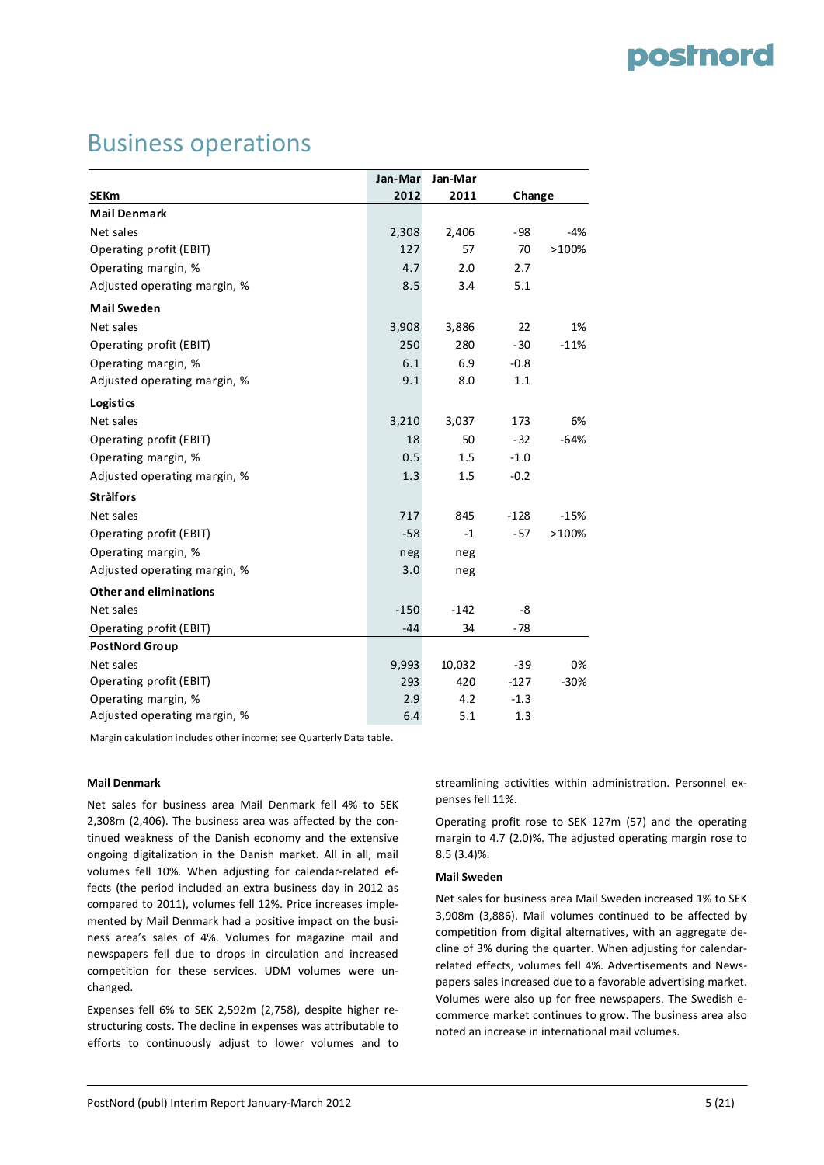### Business operations

|                               | Jan-Mar | Jan-Mar |        |        |
|-------------------------------|---------|---------|--------|--------|
| <b>SEKm</b>                   | 2012    | 2011    | Change |        |
| <b>Mail Denmark</b>           |         |         |        |        |
| Net sales                     | 2,308   | 2,406   | $-98$  | $-4%$  |
| Operating profit (EBIT)       | 127     | 57      | 70     | >100%  |
| Operating margin, %           | 4.7     | 2.0     | 2.7    |        |
| Adjusted operating margin, %  | 8.5     | 3.4     | 5.1    |        |
| <b>Mail Sweden</b>            |         |         |        |        |
| Net sales                     | 3,908   | 3,886   | 22     | 1%     |
| Operating profit (EBIT)       | 250     | 280     | $-30$  | $-11%$ |
| Operating margin, %           | 6.1     | 6.9     | $-0.8$ |        |
| Adjusted operating margin, %  | 9.1     | 8.0     | 1.1    |        |
| Logistics                     |         |         |        |        |
| Net sales                     | 3,210   | 3,037   | 173    | 6%     |
| Operating profit (EBIT)       | 18      | 50      | $-32$  | $-64%$ |
| Operating margin, %           | 0.5     | 1.5     | $-1.0$ |        |
| Adjusted operating margin, %  | 1.3     | 1.5     | $-0.2$ |        |
| <b>Strålfors</b>              |         |         |        |        |
| Net sales                     | 717     | 845     | $-128$ | $-15%$ |
| Operating profit (EBIT)       | $-58$   | $-1$    | $-57$  | >100%  |
| Operating margin, %           | neg     | neg     |        |        |
| Adjusted operating margin, %  | 3.0     | neg     |        |        |
| <b>Other and eliminations</b> |         |         |        |        |
| Net sales                     | $-150$  | $-142$  | -8     |        |
| Operating profit (EBIT)       | $-44$   | 34      | $-78$  |        |
| <b>PostNord Group</b>         |         |         |        |        |
| Net sales                     | 9,993   | 10,032  | $-39$  | 0%     |
| Operating profit (EBIT)       | 293     | 420     | $-127$ | $-30%$ |
| Operating margin, %           | 2.9     | 4.2     | $-1.3$ |        |
| Adjusted operating margin, %  | 6.4     | 5.1     | 1.3    |        |

Margin calculation includes other income; see Quarterly Data table.

#### **Mail Denmark**

Net sales for business area Mail Denmark fell 4% to SEK 2,308m (2,406). The business area was affected by the con‐ tinued weakness of the Danish economy and the extensive ongoing digitalization in the Danish market. All in all, mail volumes fell 10%. When adjusting for calendar‐related ef‐ fects (the period included an extra business day in 2012 as compared to 2011), volumes fell 12%. Price increases imple‐ mented by Mail Denmark had a positive impact on the busi‐ ness area's sales of 4%. Volumes for magazine mail and newspapers fell due to drops in circulation and increased competition for these services. UDM volumes were un‐ changed.

Expenses fell 6% to SEK 2,592m (2,758), despite higher re‐ structuring costs. The decline in expenses was attributable to efforts to continuously adjust to lower volumes and to streamlining activities within administration. Personnel ex‐ penses fell 11%.

Operating profit rose to SEK 127m (57) and the operating margin to 4.7 (2.0)%. The adjusted operating margin rose to 8.5 (3.4)%.

#### **Mail Sweden**

Net sales for business area Mail Sweden increased 1% to SEK 3,908m (3,886). Mail volumes continued to be affected by competition from digital alternatives, with an aggregate de‐ cline of 3% during the quarter. When adjusting for calendar‐ related effects, volumes fell 4%. Advertisements and News‐ papers sales increased due to a favorable advertising market. Volumes were also up for free newspapers. The Swedish e‐ commerce market continues to grow. The business area also noted an increase in international mail volumes.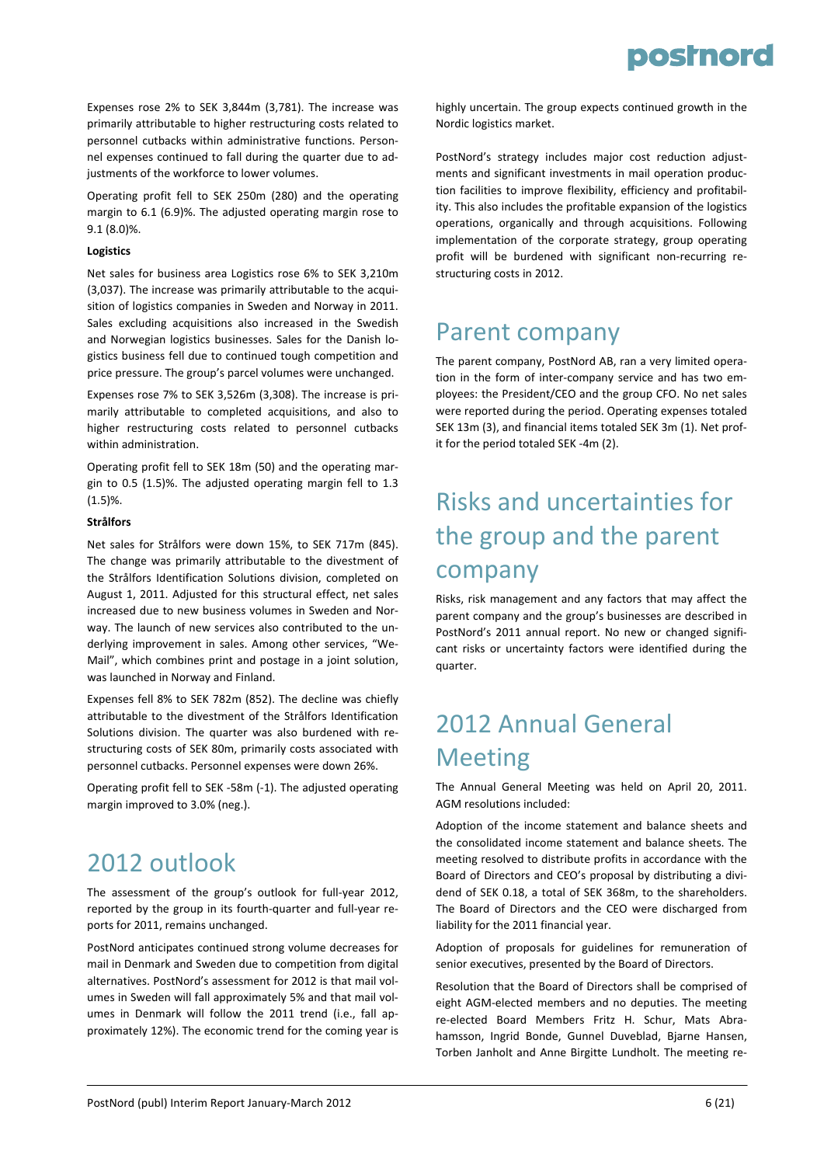Expenses rose 2% to SEK 3,844m (3,781). The increase was primarily attributable to higher restructuring costs related to personnel cutbacks within administrative functions. Person‐ nel expenses continued to fall during the quarter due to ad‐ justments of the workforce to lower volumes.

Operating profit fell to SEK 250m (280) and the operating margin to 6.1 (6.9)%. The adjusted operating margin rose to 9.1 (8.0)%.

#### **Logistics**

Net sales for business area Logistics rose 6% to SEK 3,210m (3,037). The increase was primarily attributable to the acqui‐ sition of logistics companies in Sweden and Norway in 2011. Sales excluding acquisitions also increased in the Swedish and Norwegian logistics businesses. Sales for the Danish logistics business fell due to continued tough competition and price pressure. The group's parcel volumes were unchanged.

Expenses rose 7% to SEK 3,526m (3,308). The increase is pri‐ marily attributable to completed acquisitions, and also to higher restructuring costs related to personnel cutbacks within administration.

Operating profit fell to SEK 18m (50) and the operating mar‐ gin to 0.5 (1.5)%. The adjusted operating margin fell to 1.3 (1.5)%.

#### **Strålfors**

Net sales for Strålfors were down 15%, to SEK 717m (845). The change was primarily attributable to the divestment of the Strålfors Identification Solutions division, completed on August 1, 2011. Adjusted for this structural effect, net sales increased due to new business volumes in Sweden and Nor‐ way. The launch of new services also contributed to the un‐ derlying improvement in sales. Among other services, "We‐ Mail", which combines print and postage in a joint solution, was launched in Norway and Finland.

Expenses fell 8% to SEK 782m (852). The decline was chiefly attributable to the divestment of the Strålfors Identification Solutions division. The quarter was also burdened with re‐ structuring costs of SEK 80m, primarily costs associated with personnel cutbacks. Personnel expenses were down 26%.

Operating profit fell to SEK ‐58m (‐1). The adjusted operating margin improved to 3.0% (neg.).

### 2012 outlook

The assessment of the group's outlook for full‐year 2012, reported by the group in its fourth‐quarter and full‐year re‐ ports for 2011, remains unchanged.

PostNord anticipates continued strong volume decreases for mail in Denmark and Sweden due to competition from digital alternatives. PostNord's assessment for 2012 is that mail vol‐ umes in Sweden will fall approximately 5% and that mail vol‐ umes in Denmark will follow the 2011 trend (i.e., fall approximately 12%). The economic trend for the coming year is

highly uncertain. The group expects continued growth in the Nordic logistics market.

PostNord's strategy includes major cost reduction adjust‐ ments and significant investments in mail operation produc‐ tion facilities to improve flexibility, efficiency and profitabil‐ ity. This also includes the profitable expansion of the logistics operations, organically and through acquisitions. Following implementation of the corporate strategy, group operating profit will be burdened with significant non‐recurring re‐ structuring costs in 2012.

### Parent company

The parent company, PostNord AB, ran a very limited opera‐ tion in the form of inter‐company service and has two em‐ ployees: the President/CEO and the group CFO. No net sales were reported during the period. Operating expenses totaled SEK 13m (3), and financial items totaled SEK 3m (1). Net prof‐ it for the period totaled SEK ‐4m (2).

# Risks and uncertainties for the group and the parent company

Risks, risk management and any factors that may affect the parent company and the group's businesses are described in PostNord's 2011 annual report. No new or changed signifi‐ cant risks or uncertainty factors were identified during the quarter.

# 2012 Annual General Meeting

The Annual General Meeting was held on April 20, 2011. AGM resolutions included:

Adoption of the income statement and balance sheets and the consolidated income statement and balance sheets. The meeting resolved to distribute profits in accordance with the Board of Directors and CEO's proposal by distributing a divi‐ dend of SEK 0.18, a total of SEK 368m, to the shareholders. The Board of Directors and the CEO were discharged from liability for the 2011 financial year.

Adoption of proposals for guidelines for remuneration of senior executives, presented by the Board of Directors.

Resolution that the Board of Directors shall be comprised of eight AGM‐elected members and no deputies. The meeting re‐elected Board Members Fritz H. Schur, Mats Abra‐ hamsson, Ingrid Bonde, Gunnel Duveblad, Bjarne Hansen, Torben Janholt and Anne Birgitte Lundholt. The meeting re‐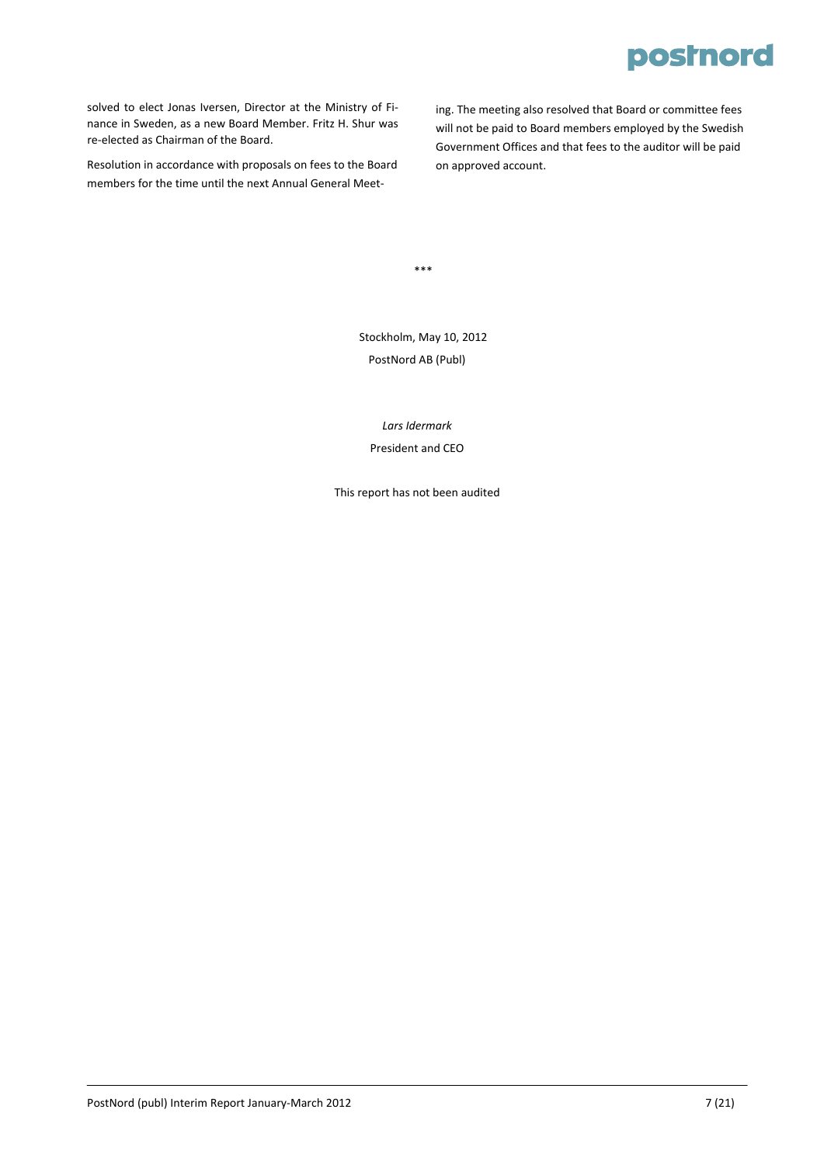solved to elect Jonas Iversen, Director at the Ministry of Fi‐ nance in Sweden, as a new Board Member. Fritz H. Shur was re‐elected as Chairman of the Board.

Resolution in accordance with proposals on fees to the Board members for the time until the next Annual General Meeting. The meeting also resolved that Board or committee fees will not be paid to Board members employed by the Swedish Government Offices and that fees to the auditor will be paid on approved account.

\*\*\*

Stockholm, May 10, 2012 PostNord AB (Publ)

*Lars Idermark* President and CEO

This report has not been audited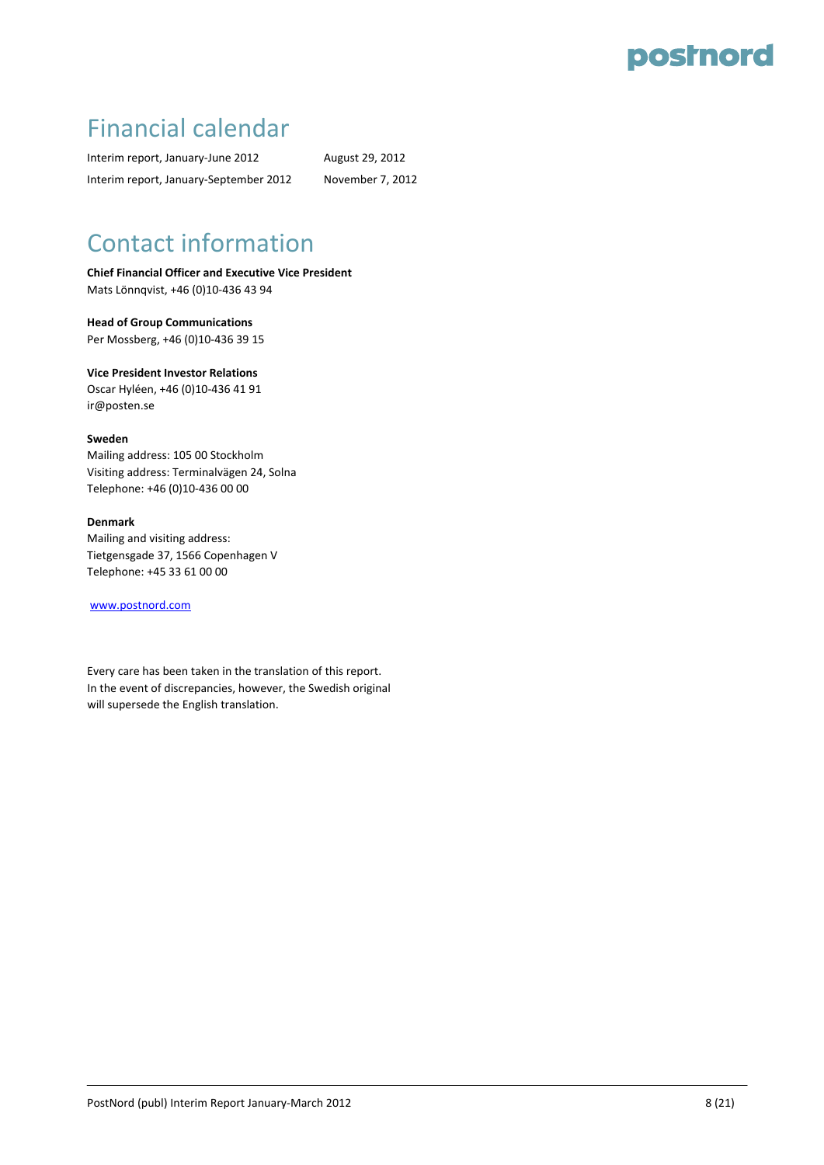### Financial calendar

Interim report, January-June 2012 August 29, 2012 Interim report, January‐September 2012 November 7, 2012

## Contact information

**Chief Financial Officer and Executive Vice President** Mats Lönnqvist, +46 (0)10‐436 43 94

**Head of Group Communications**  Per Mossberg, +46 (0)10‐436 39 15

**Vice President Investor Relations** Oscar Hyléen, +46 (0)10‐436 41 91 ir@posten.se

**Sweden**

Mailing address: 105 00 Stockholm Visiting address: Terminalvägen 24, Solna Telephone: +46 (0)10‐436 00 00

#### **Denmark**

Mailing and visiting address: Tietgensgade 37, 1566 Copenhagen V Telephone: +45 33 61 00 00

[www.postnord.com](http://www.postnord.com/)

Every care has been taken in the translation of this report. In the event of discrepancies, however, the Swedish original will supersede the English translation.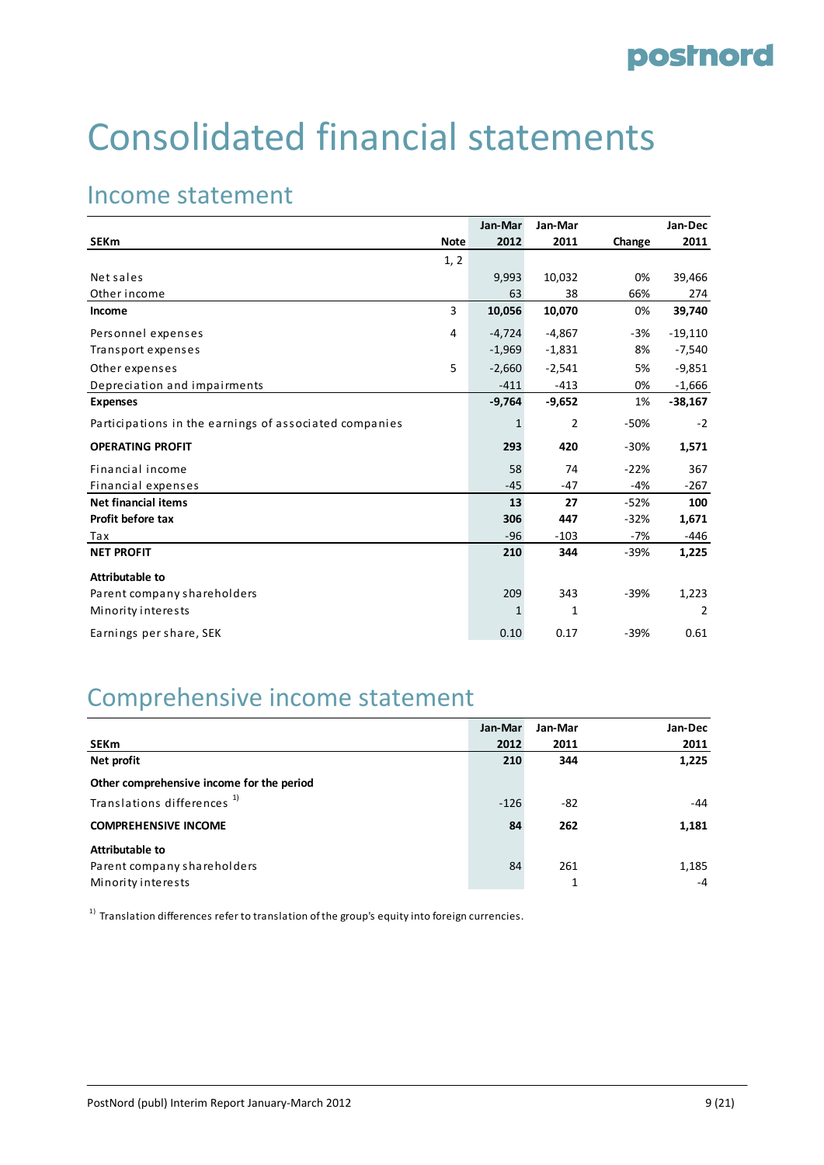# Consolidated financial statements

### Income statement

|                                                        |             | Jan-Mar  | Jan-Mar  |        | Jan-Dec        |
|--------------------------------------------------------|-------------|----------|----------|--------|----------------|
| <b>SEKm</b>                                            | <b>Note</b> | 2012     | 2011     | Change | 2011           |
|                                                        | 1, 2        |          |          |        |                |
| Net sales                                              |             | 9,993    | 10,032   | 0%     | 39,466         |
| Other income                                           |             | 63       | 38       | 66%    | 274            |
| Income                                                 | 3           | 10,056   | 10,070   | 0%     | 39,740         |
| Personnel expenses                                     | 4           | $-4,724$ | $-4,867$ | -3%    | $-19,110$      |
| Transport expenses                                     |             | $-1,969$ | $-1,831$ | 8%     | $-7,540$       |
| Other expenses                                         | 5           | $-2,660$ | $-2,541$ | 5%     | $-9,851$       |
| Depreciation and impairments                           |             | $-411$   | $-413$   | 0%     | $-1,666$       |
| <b>Expenses</b>                                        |             | $-9,764$ | $-9,652$ | 1%     | $-38,167$      |
| Participations in the earnings of associated companies |             | 1        | 2        | $-50%$ | $-2$           |
| <b>OPERATING PROFIT</b>                                |             | 293      | 420      | $-30%$ | 1,571          |
| Financial income                                       |             | 58       | 74       | $-22%$ | 367            |
| Financial expenses                                     |             | $-45$    | $-47$    | $-4%$  | $-267$         |
| <b>Net financial items</b>                             |             | 13       | 27       | $-52%$ | 100            |
| Profit before tax                                      |             | 306      | 447      | $-32%$ | 1,671          |
| Tax                                                    |             | $-96$    | $-103$   | -7%    | -446           |
| <b>NET PROFIT</b>                                      |             | 210      | 344      | $-39%$ | 1,225          |
| <b>Attributable to</b>                                 |             |          |          |        |                |
| Parent company shareholders                            |             | 209      | 343      | $-39%$ | 1,223          |
| Minority interests                                     |             | 1        | 1        |        | $\overline{2}$ |
| Earnings per share, SEK                                |             | 0.10     | 0.17     | $-39%$ | 0.61           |

### Comprehensive income statement

|                                           | Jan-Mar | Jan-Mar | Jan-Dec |
|-------------------------------------------|---------|---------|---------|
| <b>SEKm</b>                               | 2012    | 2011    | 2011    |
| Net profit                                | 210     | 344     | 1,225   |
| Other comprehensive income for the period |         |         |         |
| Translations differences <sup>1)</sup>    | $-126$  | -82     | -44     |
| <b>COMPREHENSIVE INCOME</b>               | 84      | 262     | 1,181   |
| Attributable to                           |         |         |         |
| Parent company shareholders               | 84      | 261     | 1,185   |
| Minority interests                        |         | 1       | $-4$    |

 $1)$  Translation differences refer to translation of the group's equity into foreign currencies.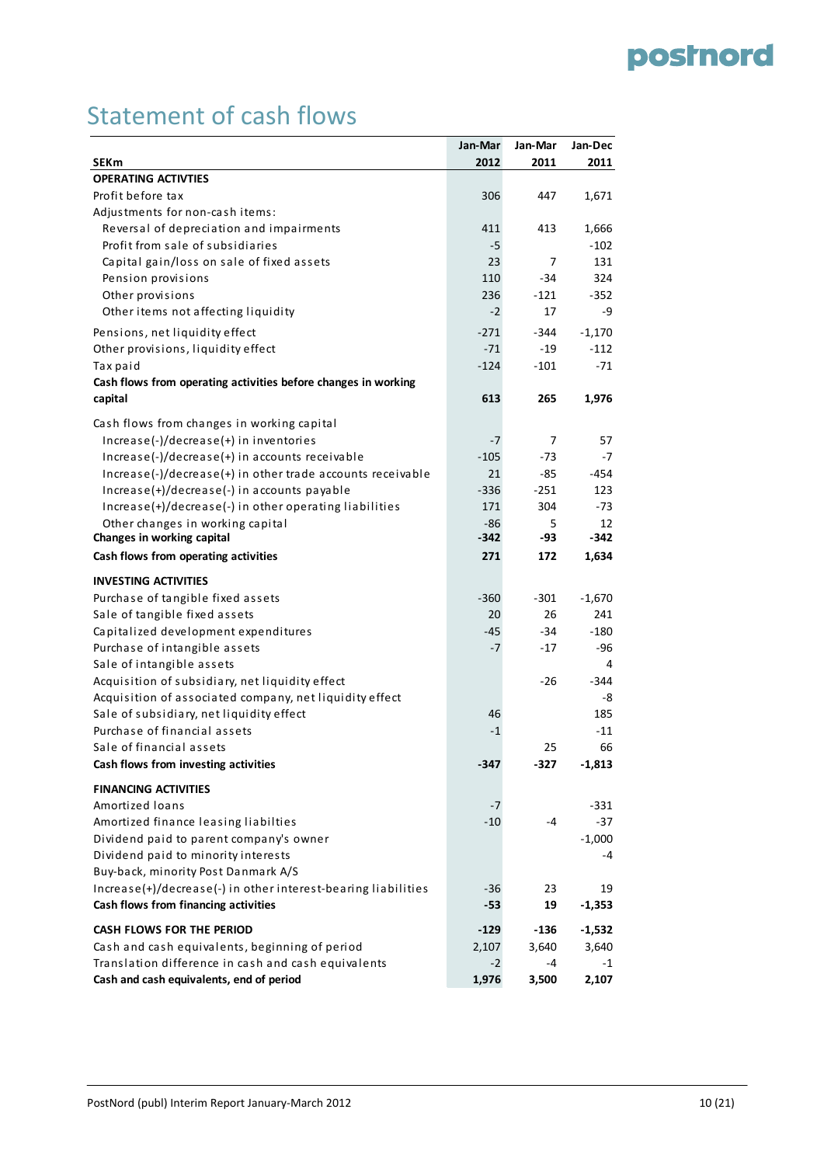### Statement of cash flows

|                                                                | Jan-Mar | Jan-Mar | Jan-Dec  |
|----------------------------------------------------------------|---------|---------|----------|
| <b>SEKm</b>                                                    | 2012    | 2011    | 2011     |
| <b>OPERATING ACTIVTIES</b>                                     |         |         |          |
| Profit before tax                                              | 306     | 447     | 1,671    |
| Adjustments for non-cash items:                                |         |         |          |
| Reversal of depreciation and impairments                       | 411     | 413     | 1,666    |
| Profit from sale of subsidiaries                               | -5      |         | $-102$   |
| Capital gain/loss on sale of fixed assets                      | 23      | 7       | 131      |
| Pension provisions                                             | 110     | $-34$   | 324      |
| Other provisions                                               | 236     | $-121$  | $-352$   |
| Other items not affecting liquidity                            | $-2$    | 17      | -9       |
| Pensions, net liquidity effect                                 | $-271$  | -344    | $-1,170$ |
| Other provisions, liquidity effect                             | $-71$   | $-19$   | $-112$   |
| Tax paid                                                       | $-124$  | $-101$  | $-71$    |
| Cash flows from operating activities before changes in working |         |         |          |
| capital                                                        | 613     | 265     | 1,976    |
| Cash flows from changes in working capital                     |         |         |          |
| Increase(-)/decrease(+) in inventories                         | -7      | 7       | 57       |
| $Increase(-)/decrease(+)$ in accounts receivable               | $-105$  | -73     | $-7$     |
| $Increase(-)/decrease(+)$ in other trade accounts receivable   | 21      | -85     | $-454$   |
| Increase(+)/decrease(-) in accounts payable                    | $-336$  | $-251$  | 123      |
| Increase(+)/decrease(-) in other operating liabilities         | 171     | 304     | $-73$    |
| Other changes in working capital                               | $-86$   | 5.      | 12       |
| Changes in working capital                                     | -342    | -93     | -342     |
| Cash flows from operating activities                           | 271     | 172     | 1,634    |
| <b>INVESTING ACTIVITIES</b>                                    |         |         |          |
| Purchase of tangible fixed assets                              | $-360$  | $-301$  | $-1,670$ |
| Sale of tangible fixed assets                                  | 20      | 26      | 241      |
| Capitalized development expenditures                           | -45     | -34     | $-180$   |
| Purchase of intangible assets                                  | $-7$    | $-17$   | $-96$    |
| Sale of intangible assets                                      |         |         | 4        |
| Acquisition of subsidiary, net liquidity effect                |         | -26     | -344     |
| Acquisition of associated company, net liquidity effect        |         |         | -8       |
| Sale of subsidiary, net liquidity effect                       | 46      |         | 185      |
| Purchase of financial assets                                   | $-1$    |         | $-11$    |
| Sale of financial assets                                       |         | 25      | 66       |
| Cash flows from investing activities                           | -347    | -327    | $-1,813$ |
| <b>FINANCING ACTIVITIES</b>                                    |         |         |          |
| Amortized loans                                                | -7      |         | $-331$   |
| Amortized finance leasing liabilties                           | $-10$   | $-4$    | $-37$    |
| Dividend paid to parent company's owner                        |         |         | $-1,000$ |
| Dividend paid to minority interests                            |         |         | -4       |
| Buy-back, minority Post Danmark A/S                            |         |         |          |
| Increase(+)/decrease(-) in other interest-bearing liabilities  | -36     | 23      | 19       |
| Cash flows from financing activities                           | -53     | 19      | $-1,353$ |
| <b>CASH FLOWS FOR THE PERIOD</b>                               | $-129$  | $-136$  | $-1,532$ |
| Cash and cash equivalents, beginning of period                 | 2,107   | 3,640   | 3,640    |
| Translation difference in cash and cash equivalents            | $-2$    | -4      | $-1$     |
| Cash and cash equivalents, end of period                       | 1,976   | 3,500   | 2,107    |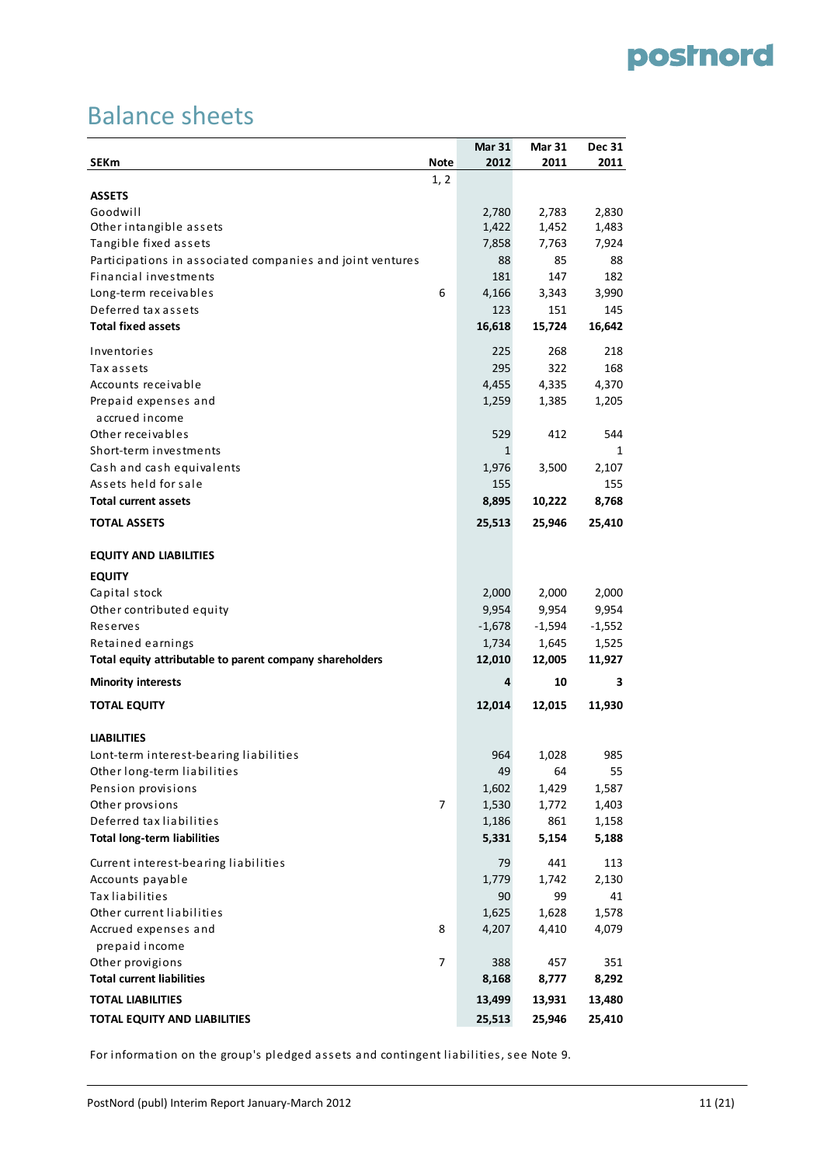### Balance sheets

|                                                           |             | <b>Mar 31</b> | <b>Mar 31</b> | <b>Dec 31</b> |
|-----------------------------------------------------------|-------------|---------------|---------------|---------------|
| <b>SEKm</b>                                               | <b>Note</b> | 2012          | 2011          | 2011          |
|                                                           | 1, 2        |               |               |               |
| <b>ASSETS</b>                                             |             |               |               |               |
| Goodwill                                                  |             | 2,780         | 2,783         | 2,830         |
| Other intangible assets                                   |             | 1,422         | 1,452         | 1,483         |
| Tangible fixed assets                                     |             | 7,858         | 7,763         | 7,924         |
| Participations in associated companies and joint ventures |             | 88            | 85            | 88            |
| Financial investments                                     |             | 181           | 147           | 182           |
| Long-term receivables                                     | 6           | 4,166         | 3,343         | 3,990         |
| Deferred tax assets                                       |             | 123           | 151           | 145           |
| <b>Total fixed assets</b>                                 |             | 16,618        | 15,724        | 16,642        |
| Inventories                                               |             | 225           | 268           | 218           |
| Tax assets                                                |             | 295           | 322           | 168           |
| Accounts receivable                                       |             | 4,455         | 4,335         | 4,370         |
| Prepaid expenses and                                      |             | 1,259         | 1,385         | 1,205         |
| accrued income                                            |             |               |               |               |
| Other receivables                                         |             | 529           | 412           | 544           |
| Short-term investments                                    |             | 1             |               | 1             |
| Cash and cash equivalents                                 |             | 1,976         | 3,500         | 2,107         |
| Assets held for sale                                      |             | 155           |               | 155           |
| <b>Total current assets</b>                               |             | 8,895         | 10,222        | 8,768         |
| <b>TOTAL ASSETS</b>                                       |             | 25,513        | 25,946        | 25,410        |
| <b>EQUITY AND LIABILITIES</b>                             |             |               |               |               |
| <b>EQUITY</b>                                             |             |               |               |               |
| Capital stock                                             |             | 2,000         | 2,000         | 2,000         |
| Other contributed equity                                  |             | 9,954         | 9,954         | 9,954         |
| Reserves                                                  |             | $-1,678$      | $-1,594$      | $-1,552$      |
| Retained earnings                                         |             | 1,734         | 1,645         | 1,525         |
| Total equity attributable to parent company shareholders  |             | 12,010        | 12,005        | 11,927        |
| <b>Minority interests</b>                                 |             | 4             | 10            | 3             |
| <b>TOTAL EQUITY</b>                                       |             | 12,014        | 12,015        | 11,930        |
| <b>LIABILITIES</b>                                        |             |               |               |               |
| Lont-term interest-bearing liabilities                    |             | 964           | 1,028         | 985           |
| Other long-term liabilities                               |             | 49            | 64            | 55            |
| Pension provisions                                        |             | 1,602         | 1,429         | 1,587         |
| Other provsions                                           | 7           | 1,530         | 1,772         | 1,403         |
| Deferred tax liabilities                                  |             | 1,186         | 861           | 1,158         |
| <b>Total long-term liabilities</b>                        |             | 5,331         | 5,154         | 5,188         |
| Current interest-bearing liabilities                      |             | 79            | 441           | 113           |
| Accounts payable                                          |             | 1,779         | 1,742         | 2,130         |
| <b>Tax liabilities</b>                                    |             | 90            | 99            | 41            |
| Other current liabilities                                 |             | 1,625         | 1,628         | 1,578         |
| Accrued expenses and                                      | 8           | 4,207         | 4,410         | 4,079         |
| prepaid income                                            |             |               |               |               |
| Other provigions                                          | 7           | 388           | 457           | 351           |
| <b>Total current liabilities</b>                          |             | 8,168         | 8,777         | 8,292         |
| <b>TOTAL LIABILITIES</b>                                  |             | 13,499        | 13,931        | 13,480        |
| TOTAL EQUITY AND LIABILITIES                              |             | 25,513        | 25,946        | 25,410        |
|                                                           |             |               |               |               |

For information on the group's pledged assets and contingent liabilities, see Note 9.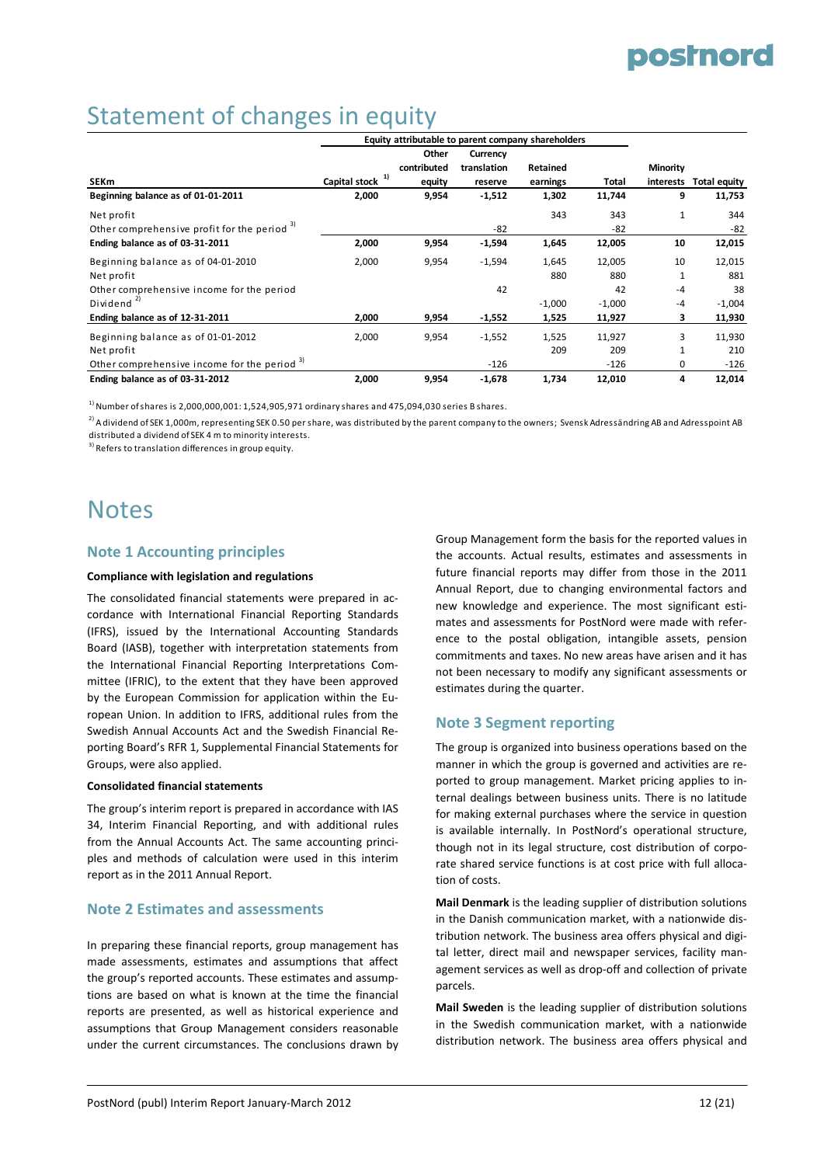# Statement of changes in equity

|                                                         |               |             |             | Equity attributable to parent company shareholders |          |                 |                     |
|---------------------------------------------------------|---------------|-------------|-------------|----------------------------------------------------|----------|-----------------|---------------------|
|                                                         |               | Other       | Currency    |                                                    |          |                 |                     |
|                                                         |               | contributed | translation | Retained                                           |          | <b>Minority</b> |                     |
| <b>SEKm</b>                                             | Capital stock | equity      | reserve     | earnings                                           | Total    | interests       | <b>Total equity</b> |
| Beginning balance as of 01-01-2011                      | 2,000         | 9,954       | $-1,512$    | 1,302                                              | 11,744   | 9               | 11,753              |
| Net profit                                              |               |             |             | 343                                                | 343      | $\mathbf{1}$    | 344                 |
| Other comprehensive profit for the period <sup>3)</sup> |               |             | $-82$       |                                                    | $-82$    |                 | $-82$               |
| Ending balance as of 03-31-2011                         | 2,000         | 9,954       | $-1,594$    | 1,645                                              | 12,005   | 10              | 12,015              |
| Beginning balance as of 04-01-2010                      | 2,000         | 9,954       | $-1,594$    | 1,645                                              | 12,005   | 10              | 12,015              |
| Net profit                                              |               |             |             | 880                                                | 880      | 1               | 881                 |
| Other comprehensive income for the period               |               |             | 42          |                                                    | 42       | $-4$            | 38                  |
| Dividend $^{2)}$                                        |               |             |             | $-1,000$                                           | $-1,000$ | $-4$            | $-1,004$            |
| Ending balance as of 12-31-2011                         | 2,000         | 9,954       | $-1,552$    | 1,525                                              | 11,927   | 3               | 11,930              |
| Beginning balance as of 01-01-2012                      | 2,000         | 9,954       | $-1,552$    | 1,525                                              | 11,927   | 3               | 11,930              |
| Net profit                                              |               |             |             | 209                                                | 209      | $\mathbf{1}$    | 210                 |
| Other comprehensive income for the period <sup>3)</sup> |               |             | $-126$      |                                                    | $-126$   | $\Omega$        | $-126$              |
| Ending balance as of 03-31-2012                         | 2,000         | 9,954       | $-1,678$    | 1,734                                              | 12,010   | 4               | 12,014              |

 $^{1}$ ) Number of shares is 2,000,000,001: 1,524,905,971 ordinary shares and 475,094,030 series B shares.

<sup>2)</sup> A dividend of SEK 1,000m, representing SEK 0.50 per share, was distributed by the parent company to the owners; Svensk Adressändring AB and Adresspoint AB distributed a dividend of SEK 4 m to minority interests.

<sup>3)</sup> Refers to translation differences in group equity.

### **Notes**

#### **Note 1 Accounting principles**

#### **Compliance with legislation and regulations**

The consolidated financial statements were prepared in ac‐ cordance with International Financial Reporting Standards (IFRS), issued by the International Accounting Standards Board (IASB), together with interpretation statements from the International Financial Reporting Interpretations Com‐ mittee (IFRIC), to the extent that they have been approved by the European Commission for application within the Eu‐ ropean Union. In addition to IFRS, additional rules from the Swedish Annual Accounts Act and the Swedish Financial Re‐ porting Board's RFR 1, Supplemental Financial Statements for Groups, were also applied.

#### **Consolidated financial statements**

The group's interim report is prepared in accordance with IAS 34, Interim Financial Reporting, and with additional rules from the Annual Accounts Act. The same accounting princi‐ ples and methods of calculation were used in this interim report as in the 2011 Annual Report.

#### **Note 2 Estimates and assessments**

In preparing these financial reports, group management has made assessments, estimates and assumptions that affect the group's reported accounts. These estimates and assump‐ tions are based on what is known at the time the financial reports are presented, as well as historical experience and assumptions that Group Management considers reasonable under the current circumstances. The conclusions drawn by

Group Management form the basis for the reported values in the accounts. Actual results, estimates and assessments in future financial reports may differ from those in the 2011 Annual Report, due to changing environmental factors and new knowledge and experience. The most significant esti‐ mates and assessments for PostNord were made with refer‐ ence to the postal obligation, intangible assets, pension commitments and taxes. No new areas have arisen and it has not been necessary to modify any significant assessments or estimates during the quarter.

#### **Note 3 Segment reporting**

The group is organized into business operations based on the manner in which the group is governed and activities are re‐ ported to group management. Market pricing applies to in‐ ternal dealings between business units. There is no latitude for making external purchases where the service in question is available internally. In PostNord's operational structure, though not in its legal structure, cost distribution of corpo‐ rate shared service functions is at cost price with full allocation of costs.

**Mail Denmark** is the leading supplier of distribution solutions in the Danish communication market, with a nationwide dis‐ tribution network. The business area offers physical and digi‐ tal letter, direct mail and newspaper services, facility management services as well as drop‐off and collection of private parcels.

**Mail Sweden** is the leading supplier of distribution solutions in the Swedish communication market, with a nationwide distribution network. The business area offers physical and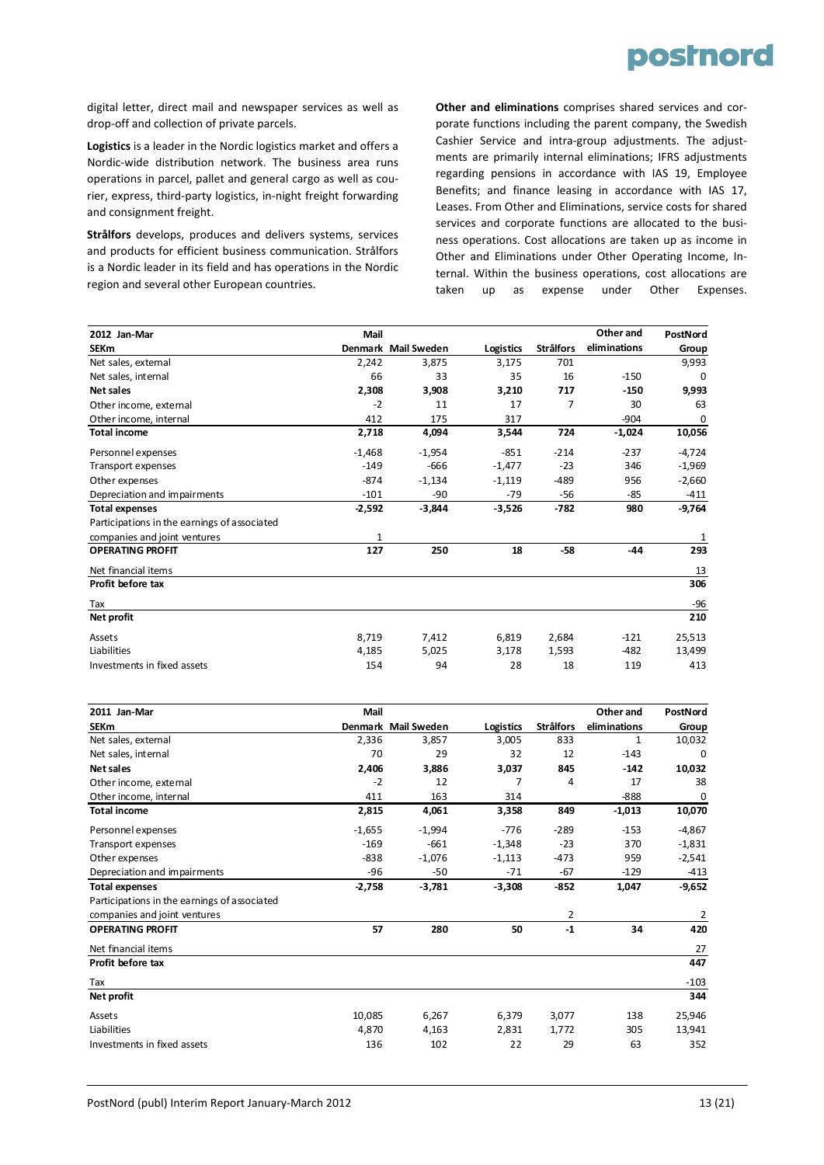

digital letter, direct mail and newspaper services as well as drop‐off and collection of private parcels.

**Logistics** is a leader in the Nordic logistics market and offers a Nordic‐wide distribution network. The business area runs operations in parcel, pallet and general cargo as well as cou‐ rier, express, third‐party logistics, in‐night freight forwarding and consignment freight.

**Strålfors** develops, produces and delivers systems, services and products for efficient business communication. Strålfors is a Nordic leader in its field and has operations in the Nordic region and several other European countries.

**Other and eliminations** comprises shared services and cor‐ porate functions including the parent company, the Swedish Cashier Service and intra-group adjustments. The adjustments are primarily internal eliminations; IFRS adjustments regarding pensions in accordance with IAS 19, Employee Benefits; and finance leasing in accordance with IAS 17, Leases. From Other and Eliminations, service costs for shared services and corporate functions are allocated to the business operations. Cost allocations are taken up as income in Other and Eliminations under Other Operating Income, In‐ ternal. Within the business operations, cost allocations are taken up as expense under Other Expenses.

| 2012 Jan-Mar                                 | Mail     |                     |                  |                  | Other and    | PostNord |
|----------------------------------------------|----------|---------------------|------------------|------------------|--------------|----------|
| <b>SEKm</b>                                  |          | Denmark Mail Sweden | <b>Logistics</b> | <b>Strålfors</b> | eliminations | Group    |
| Net sales, external                          | 2,242    | 3,875               | 3,175            | 701              |              | 9,993    |
| Net sales, internal                          | 66       | 33                  | 35               | 16               | $-150$       | $\Omega$ |
| Net sales                                    | 2,308    | 3,908               | 3,210            | 717              | $-150$       | 9,993    |
| Other income, external                       | $-2$     | 11                  | 17               | 7                | 30           | 63       |
| Other income, internal                       | 412      | 175                 | 317              |                  | $-904$       | 0        |
| <b>Total income</b>                          | 2,718    | 4,094               | 3,544            | 724              | $-1,024$     | 10,056   |
| Personnel expenses                           | $-1,468$ | $-1,954$            | $-851$           | $-214$           | $-237$       | $-4,724$ |
| Transport expenses                           | $-149$   | $-666$              | $-1,477$         | $-23$            | 346          | $-1,969$ |
| Other expenses                               | $-874$   | $-1,134$            | $-1,119$         | $-489$           | 956          | $-2,660$ |
| Depreciation and impairments                 | $-101$   | -90                 | $-79$            | $-56$            | $-85$        | $-411$   |
| <b>Total expenses</b>                        | $-2,592$ | $-3,844$            | $-3,526$         | $-782$           | 980          | $-9,764$ |
| Participations in the earnings of associated |          |                     |                  |                  |              |          |
| companies and joint ventures                 |          |                     |                  |                  |              |          |
| <b>OPERATING PROFIT</b>                      | 127      | 250                 | 18               | $-58$            | $-44$        | 293      |
| Net financial items                          |          |                     |                  |                  |              | 13       |
| Profit before tax                            |          |                     |                  |                  |              | 306      |
| Tax                                          |          |                     |                  |                  |              | $-96$    |
| Net profit                                   |          |                     |                  |                  |              | 210      |
| Assets                                       | 8,719    | 7,412               | 6,819            | 2,684            | $-121$       | 25,513   |
| Liabilities                                  | 4,185    | 5,025               | 3,178            | 1,593            | -482         | 13,499   |
| Investments in fixed assets                  | 154      | 94                  | 28               | 18               | 119          | 413      |

| 2011 Jan-Mar                                 | Mail     |                     |                  |                  | Other and    | PostNord |
|----------------------------------------------|----------|---------------------|------------------|------------------|--------------|----------|
| <b>SEKm</b>                                  |          | Denmark Mail Sweden | <b>Logistics</b> | <b>Strålfors</b> | eliminations | Group    |
| Net sales, external                          | 2,336    | 3,857               | 3,005            | 833              | 1            | 10,032   |
| Net sales, internal                          | 70       | 29                  | 32               | 12               | $-143$       | $\Omega$ |
| Net sales                                    | 2,406    | 3,886               | 3,037            | 845              | $-142$       | 10,032   |
| Other income, external                       | $-2$     | 12                  |                  | 4                | 17           | 38       |
| Other income, internal                       | 411      | 163                 | 314              |                  | $-888$       | 0        |
| <b>Total income</b>                          | 2,815    | 4,061               | 3,358            | 849              | $-1,013$     | 10,070   |
| Personnel expenses                           | $-1,655$ | $-1,994$            | $-776$           | $-289$           | $-153$       | $-4,867$ |
| Transport expenses                           | $-169$   | $-661$              | $-1,348$         | $-23$            | 370          | $-1,831$ |
| Other expenses                               | $-838$   | $-1,076$            | $-1,113$         | $-473$           | 959          | $-2,541$ |
| Depreciation and impairments                 | $-96$    | $-50$               | $-71$            | $-67$            | $-129$       | $-413$   |
| <b>Total expenses</b>                        | $-2,758$ | $-3,781$            | $-3,308$         | $-852$           | 1,047        | $-9,652$ |
| Participations in the earnings of associated |          |                     |                  |                  |              |          |
| companies and joint ventures                 |          |                     |                  | 2                |              | 2        |
| <b>OPERATING PROFIT</b>                      | 57       | 280                 | 50               | $-1$             | 34           | 420      |
| Net financial items                          |          |                     |                  |                  |              | 27       |
| Profit before tax                            |          |                     |                  |                  |              | 447      |
| Tax                                          |          |                     |                  |                  |              | $-103$   |
| Net profit                                   |          |                     |                  |                  |              | 344      |
| Assets                                       | 10,085   | 6,267               | 6,379            | 3,077            | 138          | 25,946   |
| Liabilities                                  | 4,870    | 4,163               | 2,831            | 1,772            | 305          | 13,941   |
| Investments in fixed assets                  | 136      | 102                 | 22               | 29               | 63           | 352      |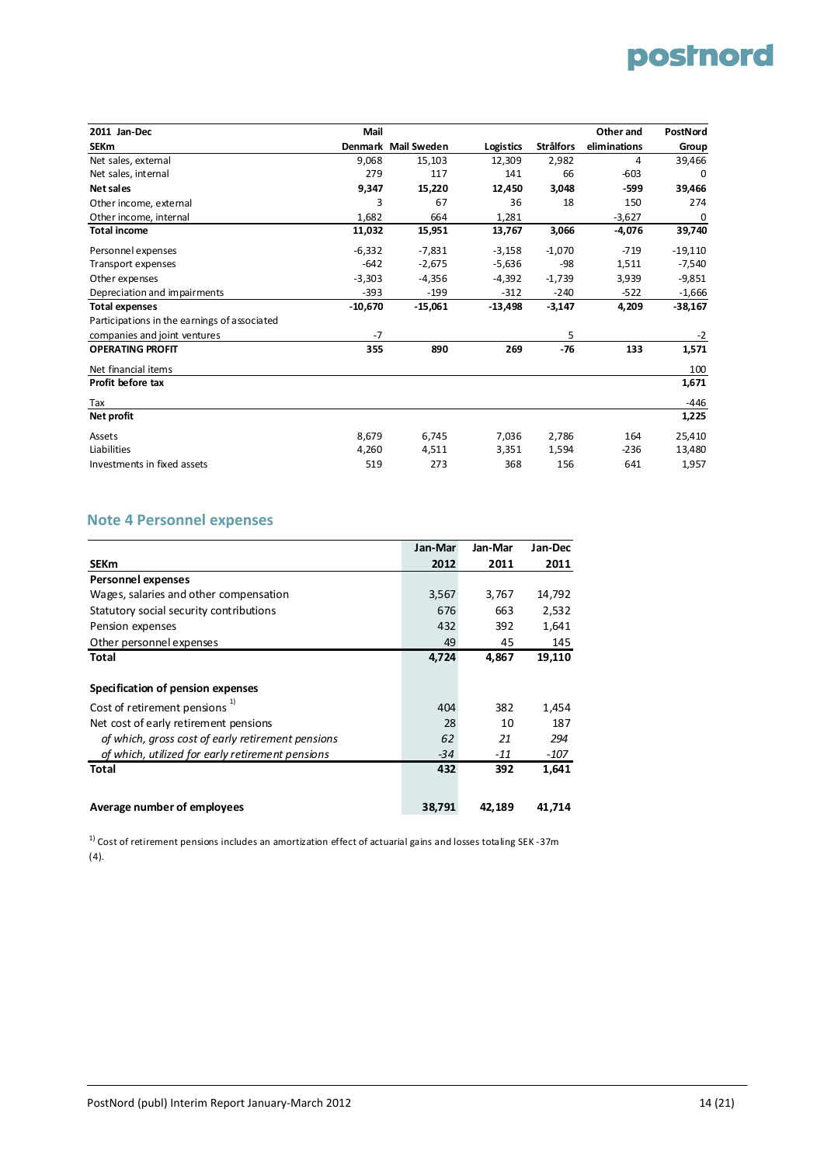| 2011 Jan-Dec                                 | Mail      |                     |           |                  | Other and    | PostNord  |
|----------------------------------------------|-----------|---------------------|-----------|------------------|--------------|-----------|
| <b>SEKm</b>                                  |           | Denmark Mail Sweden | Logistics | <b>Strålfors</b> | eliminations | Group     |
| Net sales, external                          | 9,068     | 15,103              | 12,309    | 2,982            | 4            | 39,466    |
| Net sales, internal                          | 279       | 117                 | 141       | 66               | $-603$       | 0         |
| Net sales                                    | 9,347     | 15,220              | 12,450    | 3,048            | $-599$       | 39,466    |
| Other income, external                       | 3         | 67                  | 36        | 18               | 150          | 274       |
| Other income, internal                       | 1,682     | 664                 | 1,281     |                  | $-3,627$     | 0         |
| <b>Total income</b>                          | 11,032    | 15,951              | 13,767    | 3,066            | $-4,076$     | 39,740    |
| Personnel expenses                           | $-6,332$  | $-7,831$            | $-3,158$  | $-1,070$         | $-719$       | $-19,110$ |
| Transport expenses                           | $-642$    | $-2,675$            | $-5,636$  | -98              | 1,511        | $-7,540$  |
| Other expenses                               | $-3,303$  | $-4,356$            | $-4,392$  | $-1,739$         | 3,939        | $-9,851$  |
| Depreciation and impairments                 | $-393$    | $-199$              | $-312$    | $-240$           | $-522$       | $-1,666$  |
| <b>Total expenses</b>                        | $-10,670$ | $-15,061$           | $-13,498$ | $-3,147$         | 4,209        | $-38,167$ |
| Participations in the earnings of associated |           |                     |           |                  |              |           |
| companies and joint ventures                 | $-7$      |                     |           | 5                |              | $-2$      |
| <b>OPERATING PROFIT</b>                      | 355       | 890                 | 269       | $-76$            | 133          | 1,571     |
| Net financial items                          |           |                     |           |                  |              | 100       |
| Profit before tax                            |           |                     |           |                  |              | 1,671     |
| Tax                                          |           |                     |           |                  |              | $-446$    |
| Net profit                                   |           |                     |           |                  |              | 1,225     |
| Assets                                       | 8,679     | 6,745               | 7,036     | 2,786            | 164          | 25,410    |
| Liabilities                                  | 4,260     | 4,511               | 3,351     | 1,594            | $-236$       | 13,480    |
| Investments in fixed assets                  | 519       | 273                 | 368       | 156              | 641          | 1,957     |

#### **Note 4 Personnel expenses**

|                                                   | Jan-Mar | Jan-Mar | Jan-Dec |
|---------------------------------------------------|---------|---------|---------|
| <b>SEKm</b>                                       | 2012    | 2011    | 2011    |
| <b>Personnel expenses</b>                         |         |         |         |
| Wages, salaries and other compensation            | 3,567   | 3,767   | 14,792  |
| Statutory social security contributions           | 676     | 663     | 2,532   |
| Pension expenses                                  | 432     | 392     | 1,641   |
| Other personnel expenses                          | 49      | 45      | 145     |
| Total                                             | 4,724   | 4,867   | 19,110  |
|                                                   |         |         |         |
| Specification of pension expenses                 |         |         |         |
| Cost of retirement pensions <sup>1)</sup>         | 404     | 382     | 1,454   |
| Net cost of early retirement pensions             | 28      | 10      | 187     |
| of which, gross cost of early retirement pensions | 62      | 21      | 294     |
| of which, utilized for early retirement pensions  | $-34$   | $-11$   | -107    |
| <b>Total</b>                                      | 432     | 392     | 1,641   |
|                                                   |         |         |         |
| Average number of employees                       | 38,791  | 42,189  | 41,714  |

 $1)$  Cost of retirement pensions includes an amortization effect of actuarial gains and losses totaling SEK -37m (4).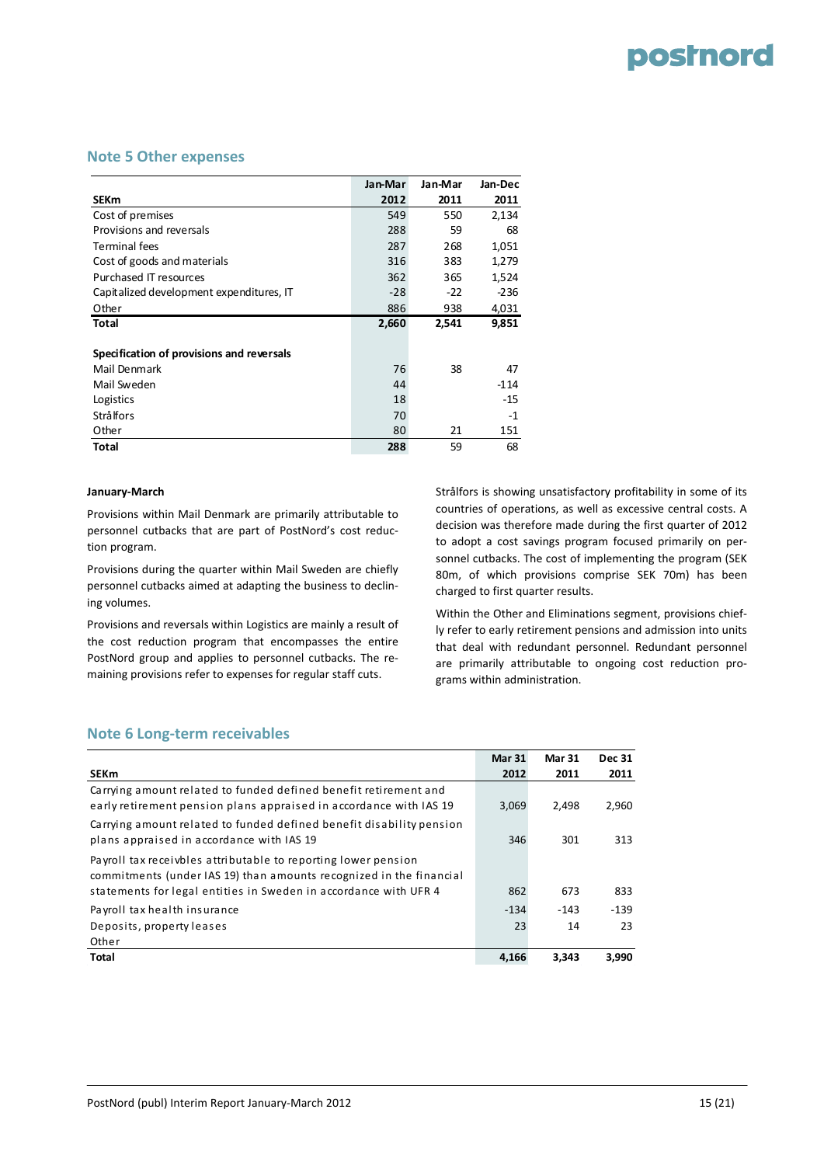#### **Note 5 Other expenses**

|                                           | Jan-Mar | Jan-Mar | Jan-Dec |
|-------------------------------------------|---------|---------|---------|
| <b>SEKm</b>                               | 2012    | 2011    | 2011    |
| Cost of premises                          | 549     | 550     | 2,134   |
| Provisions and reversals                  | 288     | 59      | 68      |
| <b>Terminal fees</b>                      | 287     | 268     | 1,051   |
| Cost of goods and materials               | 316     | 383     | 1,279   |
| Purchased IT resources                    | 362     | 365     | 1,524   |
| Capitalized development expenditures, IT  | $-28$   | $-22$   | $-236$  |
| Other                                     | 886     | 938     | 4,031   |
| Total                                     | 2,660   | 2,541   | 9,851   |
|                                           |         |         |         |
| Specification of provisions and reversals |         |         |         |
| Mail Denmark                              | 76      | 38      | 47      |
| Mail Sweden                               | 44      |         | $-114$  |
| Logistics                                 | 18      |         | -15     |
| <b>Strålfors</b>                          | 70      |         | $-1$    |
| Other                                     | 80      | 21      | 151     |
| Total                                     | 288     | 59      | 68      |

#### **January‐March**

Provisions within Mail Denmark are primarily attributable to personnel cutbacks that are part of PostNord's cost reduc‐ tion program.

Provisions during the quarter within Mail Sweden are chiefly personnel cutbacks aimed at adapting the business to declin‐ ing volumes.

Provisions and reversals within Logistics are mainly a result of the cost reduction program that encompasses the entire PostNord group and applies to personnel cutbacks. The re‐ maining provisions refer to expenses for regular staff cuts.

Strålfors is showing unsatisfactory profitability in some of its countries of operations, as well as excessive central costs. A decision was therefore made during the first quarter of 2012 to adopt a cost savings program focused primarily on per‐ sonnel cutbacks. The cost of implementing the program (SEK 80m, of which provisions comprise SEK 70m) has been charged to first quarter results.

Within the Other and Eliminations segment, provisions chief‐ ly refer to early retirement pensions and admission into units that deal with redundant personnel. Redundant personnel are primarily attributable to ongoing cost reduction pro‐ grams within administration.

#### **Note 6 Long‐term receivables**

|                                                                                                                                        | <b>Mar 31</b> | <b>Mar 31</b> | <b>Dec 31</b> |
|----------------------------------------------------------------------------------------------------------------------------------------|---------------|---------------|---------------|
| <b>SEKm</b>                                                                                                                            | 2012          | 2011          | 2011          |
| Carrying amount related to funded defined benefit retirement and<br>early retirement pension plans appraised in accordance with IAS 19 | 3,069         | 2.498         | 2,960         |
| Carrying amount related to funded defined benefit disability pension<br>plans appraised in accordance with IAS 19                      | 346           | 301           | 313           |
| Payroll tax receivbles attributable to reporting lower pension<br>commitments (under IAS 19) than amounts recognized in the financial  |               |               |               |
| statements for legal entities in Sweden in accordance with UFR 4                                                                       | 862           | 673           | 833           |
| Payroll tax health insurance                                                                                                           | $-134$        | $-143$        | $-139$        |
| Deposits, property leases                                                                                                              | 23            | 14            | 23            |
| Other                                                                                                                                  |               |               |               |
| Total                                                                                                                                  | 4.166         | 3.343         | 3.990         |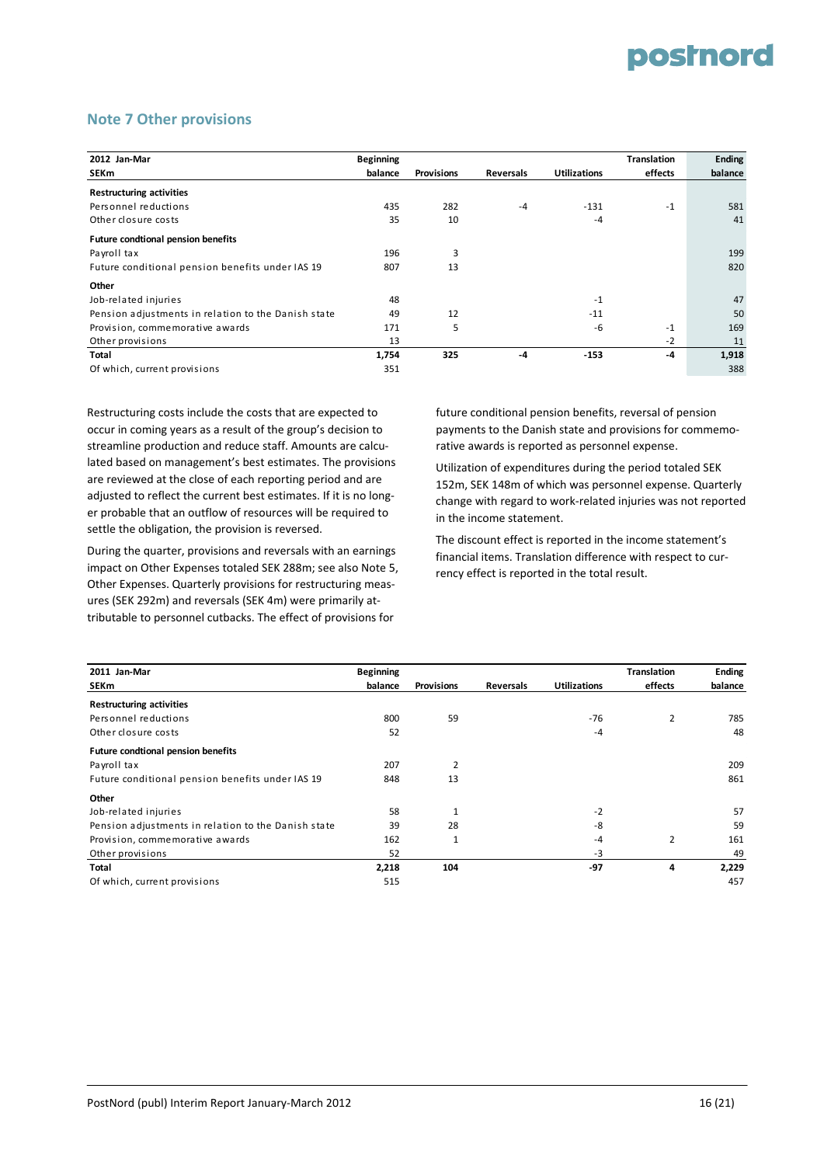#### **Note 7 Other provisions**

| 2012 Jan-Mar                                        | <b>Beginning</b> |                   |                  |                     | <b>Translation</b> | <b>Ending</b> |
|-----------------------------------------------------|------------------|-------------------|------------------|---------------------|--------------------|---------------|
| SEKm                                                | balance          | <b>Provisions</b> | <b>Reversals</b> | <b>Utilizations</b> | effects            | balance       |
| <b>Restructuring activities</b>                     |                  |                   |                  |                     |                    |               |
| Personnel reductions                                | 435              | 282               | $-4$             | $-131$              | $-1$               | 581           |
| Other closure costs                                 | 35               | 10                |                  | $-4$                |                    | 41            |
| <b>Future condtional pension benefits</b>           |                  |                   |                  |                     |                    |               |
| Payroll tax                                         | 196              | 3                 |                  |                     |                    | 199           |
| Future conditional pension benefits under IAS 19    | 807              | 13                |                  |                     |                    | 820           |
| Other                                               |                  |                   |                  |                     |                    |               |
| Job-related injuries                                | 48               |                   |                  | $-1$                |                    | 47            |
| Pension adjustments in relation to the Danish state | 49               | 12                |                  | $-11$               |                    | 50            |
| Provision, commemorative awards                     | 171              | 5                 |                  | $-6$                | $-1$               | 169           |
| Other provisions                                    | 13               |                   |                  |                     | $-2$               | 11            |
| Total                                               | 1,754            | 325               | $-4$             | $-153$              | $-4$               | 1,918         |
| Of which, current provisions                        | 351              |                   |                  |                     |                    | 388           |

Restructuring costs include the costs that are expected to occur in coming years as a result of the group's decision to streamline production and reduce staff. Amounts are calcu‐ lated based on management's best estimates. The provisions are reviewed at the close of each reporting period and are adjusted to reflect the current best estimates. If it is no longer probable that an outflow of resources will be required to settle the obligation, the provision is reversed.

During the quarter, provisions and reversals with an earnings impact on Other Expenses totaled SEK 288m; see also Note 5, Other Expenses. Quarterly provisions for restructuring meas‐ ures (SEK 292m) and reversals (SEK 4m) were primarily at‐ tributable to personnel cutbacks. The effect of provisions for

future conditional pension benefits, reversal of pension payments to the Danish state and provisions for commemo‐ rative awards is reported as personnel expense.

Utilization of expenditures during the period totaled SEK 152m, SEK 148m of which was personnel expense. Quarterly change with regard to work‐related injuries was not reported in the income statement.

The discount effect is reported in the income statement's financial items. Translation difference with respect to cur‐ rency effect is reported in the total result.

| 2011 Jan-Mar                                        | <b>Beginning</b> |                   |           |                     | <b>Translation</b> | <b>Ending</b> |
|-----------------------------------------------------|------------------|-------------------|-----------|---------------------|--------------------|---------------|
| <b>SEKm</b>                                         | balance          | <b>Provisions</b> | Reversals | <b>Utilizations</b> | effects            | balance       |
| <b>Restructuring activities</b>                     |                  |                   |           |                     |                    |               |
| Personnel reductions                                | 800              | 59                |           | $-76$               | $\overline{2}$     | 785           |
| Other closure costs                                 | 52               |                   |           | $-4$                |                    | 48            |
| <b>Future condtional pension benefits</b>           |                  |                   |           |                     |                    |               |
| Payroll tax                                         | 207              | $\overline{2}$    |           |                     |                    | 209           |
| Future conditional pension benefits under IAS 19    | 848              | 13                |           |                     |                    | 861           |
| Other                                               |                  |                   |           |                     |                    |               |
| Job-related injuries                                | 58               | $\mathbf{1}$      |           | $-2$                |                    | 57            |
| Pension adjustments in relation to the Danish state | 39               | 28                |           | -8                  |                    | 59            |
| Provision, commemorative awards                     | 162              | $\mathbf{1}$      |           | $-4$                | 2                  | 161           |
| Other provisions                                    | 52               |                   |           | $-3$                |                    | 49            |
| Total                                               | 2,218            | 104               |           | $-97$               | 4                  | 2,229         |
| Of which, current provisions                        | 515              |                   |           |                     |                    | 457           |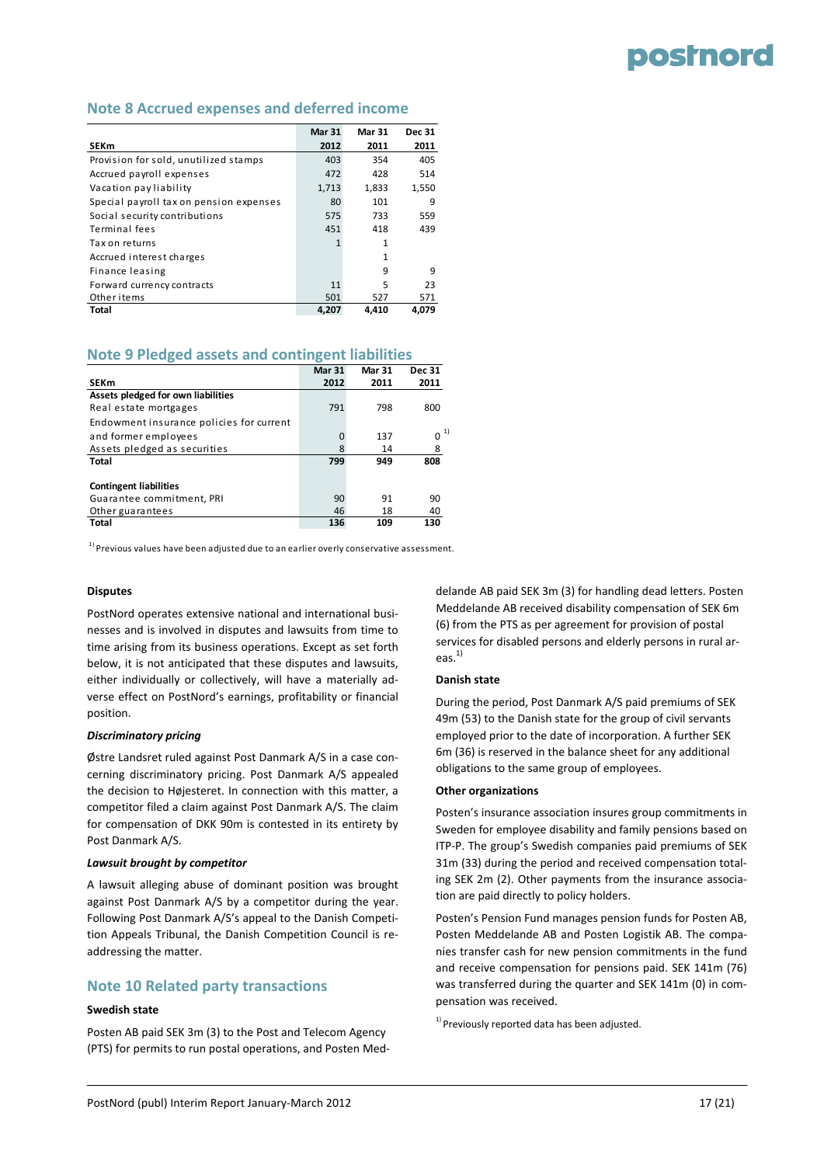#### **Note 8 Accrued expenses and deferred income**

|                                         | <b>Mar 31</b> | <b>Mar 31</b> | <b>Dec 31</b> |
|-----------------------------------------|---------------|---------------|---------------|
| <b>SEKm</b>                             | 2012          | 2011          | 2011          |
| Provision for sold, unutilized stamps   | 403           | 354           | 405           |
| Accrued payroll expenses                | 472           | 428           | 514           |
| Vacation pay liability                  | 1,713         | 1,833         | 1,550         |
| Special payroll tax on pension expenses | 80            | 101           | 9             |
| Social security contributions           | 575           | 733           | 559           |
| Terminal fees                           | 451           | 418           | 439           |
| Tax on returns                          |               | 1             |               |
| Accrued interest charges                |               | 1             |               |
| Finance leasing                         |               | 9             | 9             |
| Forward currency contracts              | 11            | 5             | 23            |
| Other items                             | 501           | 527           | 571           |
| Total                                   | 4.207         | 4.410         | 4.079         |

#### **Note 9 Pledged assets and contingent liabilities**

|                                          | <b>Mar 31</b> | <b>Mar 31</b> | <b>Dec 31</b>  |
|------------------------------------------|---------------|---------------|----------------|
| <b>SEKm</b>                              | 2012          | 2011          | 2011           |
| Assets pledged for own liabilities       |               |               |                |
| Real estate mortgages                    | 791           | 798           | 800            |
| Endowment insurance policies for current |               |               |                |
| and former employees                     | 0             | 137           | 1)<br>$\Omega$ |
| Assets pledged as securities             | 8             | 14            | 8              |
| Total                                    | 799           | 949           | 808            |
|                                          |               |               |                |
| <b>Contingent liabilities</b>            |               |               |                |
| Guarantee commitment, PRI                | 90            | 91            | 90             |
| Other guarantees                         | 46            | 18            | 40             |
| <b>Total</b>                             | 136           | 109           | 130            |

 $^{\rm 1)}$  Previous values have been adjusted due to an earlier overly conservative assessment.

#### **Disputes**

PostNord operates extensive national and international busi‐ nesses and is involved in disputes and lawsuits from time to time arising from its business operations. Except as set forth below, it is not anticipated that these disputes and lawsuits, either individually or collectively, will have a materially ad‐ verse effect on PostNord's earnings, profitability or financial position.

#### *Discriminatory pricing*

Østre Landsret ruled against Post Danmark A/S in a case con‐ cerning discriminatory pricing. Post Danmark A/S appealed the decision to Højesteret. In connection with this matter, a competitor filed a claim against Post Danmark A/S. The claim for compensation of DKK 90m is contested in its entirety by Post Danmark A/S.

#### *Lawsuit brought by competitor*

A lawsuit alleging abuse of dominant position was brought against Post Danmark A/S by a competitor during the year. Following Post Danmark A/S's appeal to the Danish Competi‐ tion Appeals Tribunal, the Danish Competition Council is re‐ addressing the matter.

#### **Note 10 Related party transactions**

#### **Swedish state**

Posten AB paid SEK 3m (3) to the Post and Telecom Agency (PTS) for permits to run postal operations, and Posten Med‐ delande AB paid SEK 3m (3) for handling dead letters. Posten Meddelande AB received disability compensation of SEK 6m (6) from the PTS as per agreement for provision of postal services for disabled persons and elderly persons in rural ar‐ eas. $^{1)}$ 

#### **Danish state**

During the period, Post Danmark A/S paid premiums of SEK 49m (53) to the Danish state for the group of civil servants employed prior to the date of incorporation. A further SEK 6m (36) is reserved in the balance sheet for any additional obligations to the same group of employees.

#### **Other organizations**

Posten's insurance association insures group commitments in Sweden for employee disability and family pensions based on ITP‐P. The group's Swedish companies paid premiums of SEK 31m (33) during the period and received compensation total‐ ing SEK 2m (2). Other payments from the insurance associa‐ tion are paid directly to policy holders.

Posten's Pension Fund manages pension funds for Posten AB, Posten Meddelande AB and Posten Logistik AB. The compa‐ nies transfer cash for new pension commitments in the fund and receive compensation for pensions paid. SEK 141m (76) was transferred during the quarter and SEK 141m (0) in compensation was received.

 $1)$  Previously reported data has been adjusted.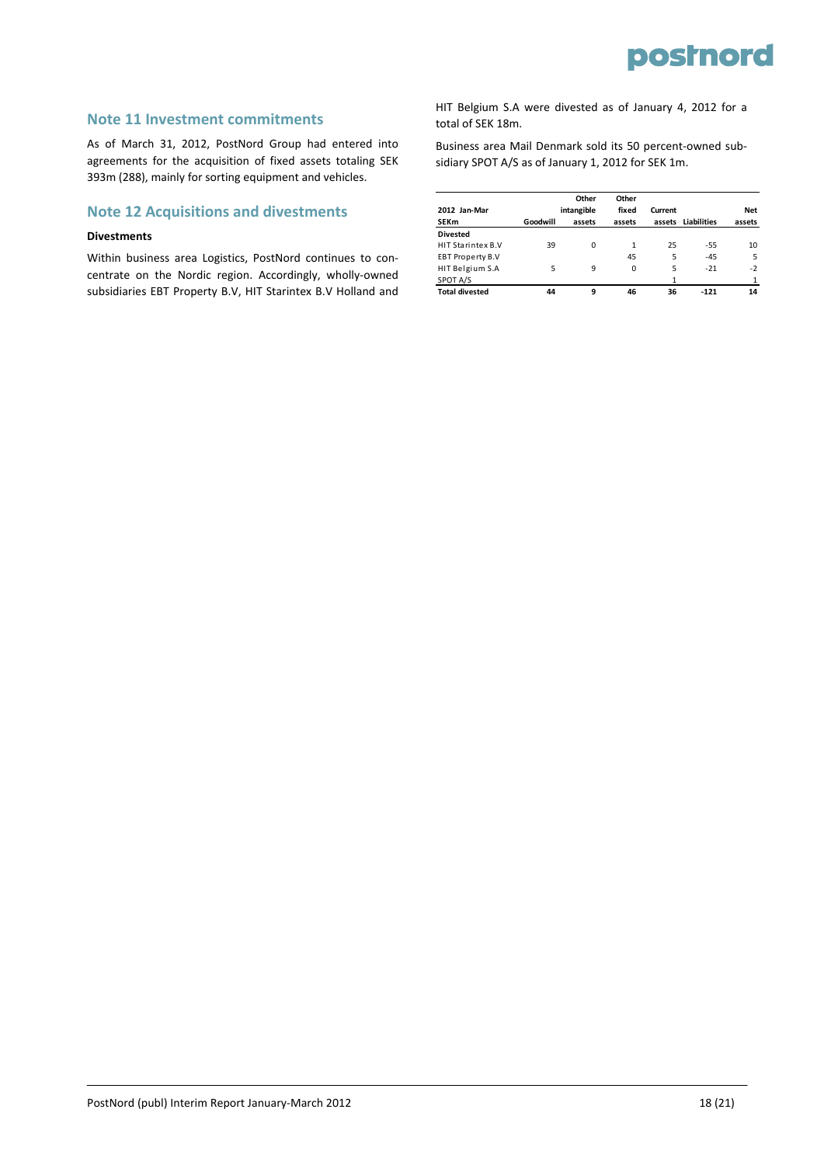#### **Note 11 Investment commitments**

As of March 31, 2012, PostNord Group had entered into agreements for the acquisition of fixed assets totaling SEK 393m (288), mainly for sorting equipment and vehicles.

#### **Note 12 Acquisitions and divestments**

#### **Divestments**

Within business area Logistics, PostNord continues to con‐ centrate on the Nordic region. Accordingly, wholly‐owned subsidiaries EBT Property B.V, HIT Starintex B.V Holland and

HIT Belgium S.A were divested as of January 4, 2012 for a total of SEK 18m.

Business area Mail Denmark sold its 50 percent‐owned sub‐ sidiary SPOT A/S as of January 1, 2012 for SEK 1m.

|                         |          | Other      | Other    |         |             |            |
|-------------------------|----------|------------|----------|---------|-------------|------------|
| 2012 Jan-Mar            |          | intangible | fixed    | Current |             | <b>Net</b> |
| <b>SEKm</b>             | Goodwill | assets     | assets   | assets  | Liabilities | assets     |
| <b>Divested</b>         |          |            |          |         |             |            |
| HIT Starintex B.V       | 39       | 0          | 1        | 25      | $-55$       | 10         |
| <b>EBT Property B.V</b> |          |            | 45       | 5       | $-45$       | 5          |
| HIT Belgium S.A         | 5        | 9          | $\Omega$ | 5       | $-21$       | $-2$       |
| SPOT A/S                |          |            |          | 1       |             |            |
| <b>Total divested</b>   | 44       | 9          | 46       | 36      | $-121$      | 14         |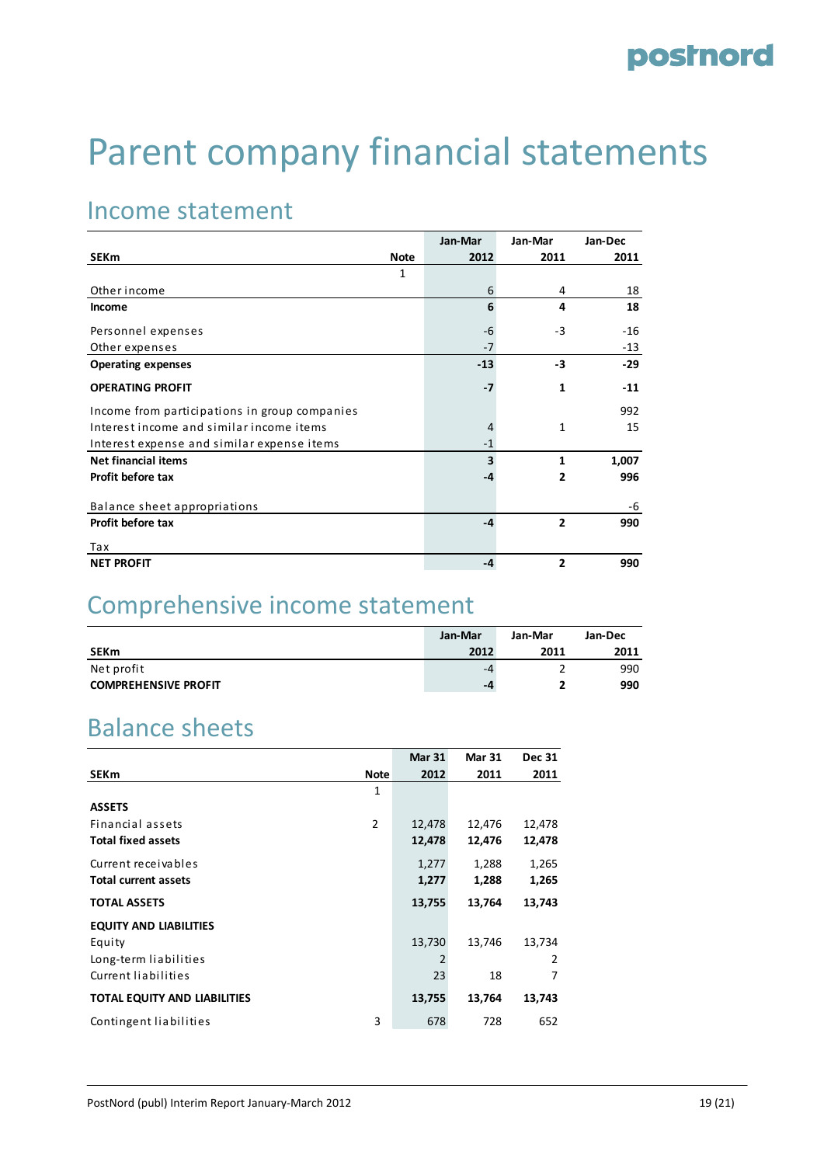# Parent company financial statements

### Income statement

|                                               | Jan-Mar | Jan-Mar        | Jan-Dec |
|-----------------------------------------------|---------|----------------|---------|
| <b>SEKm</b><br><b>Note</b>                    | 2012    | 2011           | 2011    |
| 1                                             |         |                |         |
| Other income                                  | 6       | 4              | 18      |
| Income                                        | 6       | 4              | 18      |
| Personnel expenses                            | -6      | $-3$           | $-16$   |
| Other expenses                                | $-7$    |                | $-13$   |
| <b>Operating expenses</b>                     | $-13$   | -3             | $-29$   |
| <b>OPERATING PROFIT</b>                       | $-7$    | 1              | $-11$   |
| Income from participations in group companies |         |                | 992     |
| Interest income and similar income items      | 4       | $\mathbf{1}$   | 15      |
| Interest expense and similar expense items    | $-1$    |                |         |
| <b>Net financial items</b>                    | 3       | $\mathbf{1}$   | 1,007   |
| Profit before tax                             | -4      | 2              | 996     |
| Balance sheet appropriations                  |         |                | -6      |
| Profit before tax                             | $-4$    | $\overline{2}$ | 990     |
| Tax                                           |         |                |         |
| <b>NET PROFIT</b>                             | -4      | $\overline{2}$ | 990     |

### Comprehensive income statement

|                             | Jan-Mar | Jan-Mar | Jan-Dec |
|-----------------------------|---------|---------|---------|
| <b>SEKm</b>                 | 2012    | 2011    | 2011    |
| Net profit                  | -4      |         | 990     |
| <b>COMPREHENSIVE PROFIT</b> | -4      |         | 990     |

### Balance sheets

|                                     |                | <b>Mar 31</b> | <b>Mar 31</b> | <b>Dec 31</b> |
|-------------------------------------|----------------|---------------|---------------|---------------|
| <b>SEKm</b>                         | Note           | 2012          | 2011          | 2011          |
|                                     | 1              |               |               |               |
| <b>ASSETS</b>                       |                |               |               |               |
| Financial assets                    | $\overline{2}$ | 12,478        | 12,476        | 12,478        |
| <b>Total fixed assets</b>           |                | 12,478        | 12,476        | 12,478        |
| Current receivables                 |                | 1,277         | 1,288         | 1,265         |
| <b>Total current assets</b>         |                | 1,277         | 1,288         | 1,265         |
| <b>TOTAL ASSETS</b>                 |                | 13,755        | 13,764        | 13,743        |
| <b>EQUITY AND LIABILITIES</b>       |                |               |               |               |
| Equity                              |                | 13,730        | 13,746        | 13,734        |
| Long-term liabilities               |                | 2             |               | 2             |
| Current liabilities                 |                | 23            | 18            | 7             |
| <b>TOTAL EQUITY AND LIABILITIES</b> |                | 13,755        | 13,764        | 13,743        |
| Contingent liabilities              | 3              | 678           | 728           | 652           |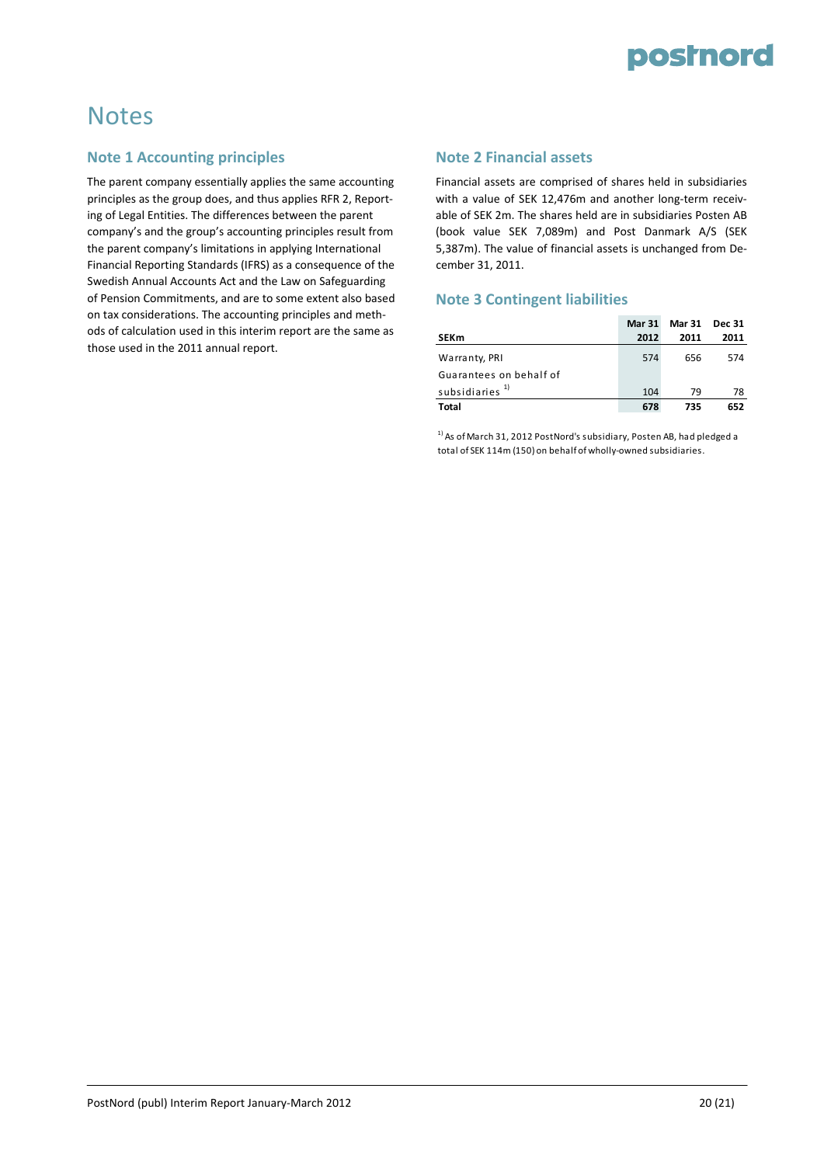

### **Notes**

#### **Note 1 Accounting principles**

The parent company essentially applies the same accounting principles as the group does, and thus applies RFR 2, Report‐ ing of Legal Entities. The differences between the parent company's and the group's accounting principles result from the parent company's limitations in applying International Financial Reporting Standards (IFRS) as a consequence of the Swedish Annual Accounts Act and the Law on Safeguarding of Pension Commitments, and are to some extent also based on tax considerations. The accounting principles and meth‐ ods of calculation used in this interim report are the same as those used in the 2011 annual report.

#### **Note 2 Financial assets**

Financial assets are comprised of shares held in subsidiaries with a value of SEK 12,476m and another long-term receivable of SEK 2m. The shares held are in subsidiaries Posten AB (book value SEK 7,089m) and Post Danmark A/S (SEK 5,387m). The value of financial assets is unchanged from De‐ cember 31, 2011.

#### **Note 3 Contingent liabilities**

|                            | <b>Mar 31</b> | <b>Mar 31</b> | Dec 31 |
|----------------------------|---------------|---------------|--------|
| <b>SEKm</b>                | 2012          | 2011          | 2011   |
| Warranty, PRI              | 574           | 656           | 574    |
| Guarantees on behalf of    |               |               |        |
| subsidiaries <sup>1)</sup> | 104           | 79            | 78     |
| Total                      | 678           | 735           | 652    |

 $1)$  As of March 31, 2012 PostNord's subsidiary, Posten AB, had pledged a total of SEK 114m (150) on behalf of wholly‐owned subsidiaries.